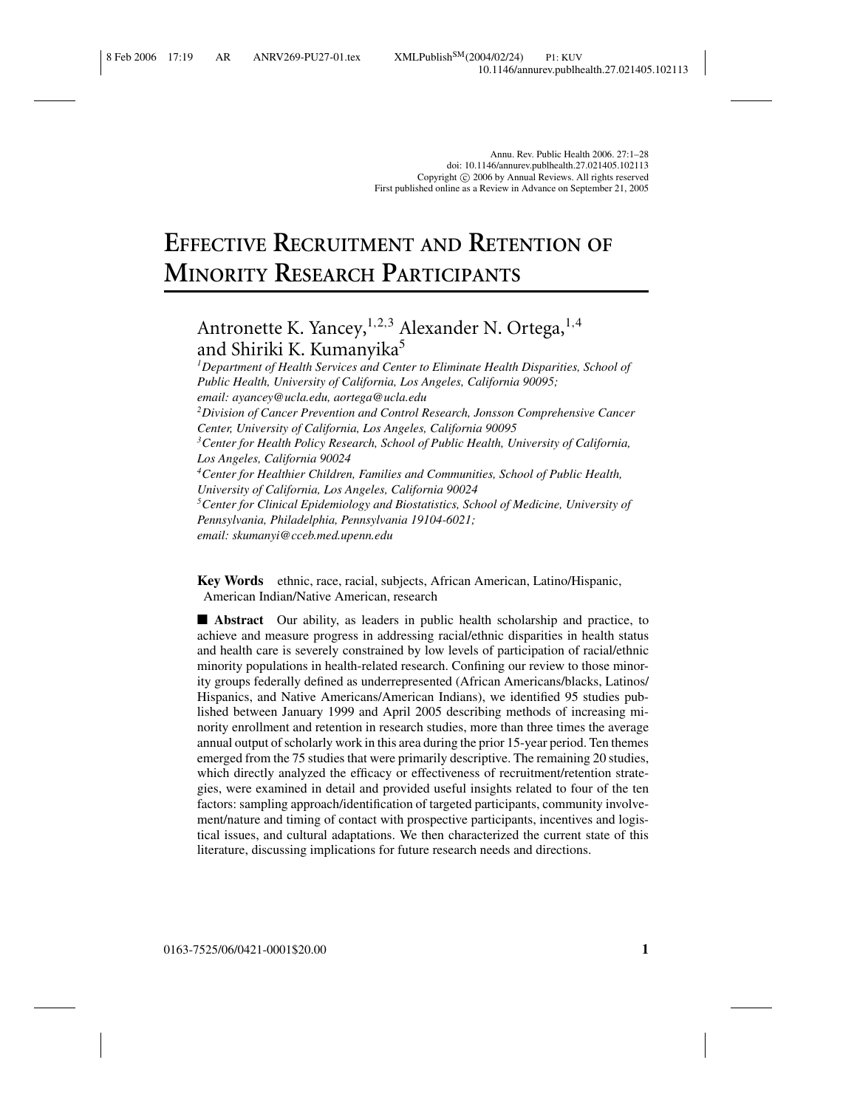# **EFFECTIVE RECRUITMENT AND RETENTION OF MINORITY RESEARCH PARTICIPANTS**

# Antronette K. Yancey,  $1,2,3$  Alexander N. Ortega,  $1,4$ and Shiriki K. Kumanyika<sup>5</sup>

*1Department of Health Services and Center to Eliminate Health Disparities, School of Public Health, University of California, Los Angeles, California 90095; email: ayancey@ucla.edu, aortega@ucla.edu 2Division of Cancer Prevention and Control Research, Jonsson Comprehensive Cancer Center, University of California, Los Angeles, California 90095 3Center for Health Policy Research, School of Public Health, University of California, Los Angeles, California 90024 4Center for Healthier Children, Families and Communities, School of Public Health, University of California, Los Angeles, California 90024 5Center for Clinical Epidemiology and Biostatistics, School of Medicine, University of Pennsylvania, Philadelphia, Pennsylvania 19104-6021; email: skumanyi@cceb.med.upenn.edu*

**Key Words** ethnic, race, racial, subjects, African American, Latino/Hispanic, American Indian/Native American, research

■ **Abstract** Our ability, as leaders in public health scholarship and practice, to achieve and measure progress in addressing racial/ethnic disparities in health status and health care is severely constrained by low levels of participation of racial/ethnic minority populations in health-related research. Confining our review to those minority groups federally defined as underrepresented (African Americans/blacks, Latinos/ Hispanics, and Native Americans/American Indians), we identified 95 studies published between January 1999 and April 2005 describing methods of increasing minority enrollment and retention in research studies, more than three times the average annual output of scholarly work in this area during the prior 15-year period. Ten themes emerged from the 75 studies that were primarily descriptive. The remaining 20 studies, which directly analyzed the efficacy or effectiveness of recruitment/retention strategies, were examined in detail and provided useful insights related to four of the ten factors: sampling approach/identification of targeted participants, community involvement/nature and timing of contact with prospective participants, incentives and logistical issues, and cultural adaptations. We then characterized the current state of this literature, discussing implications for future research needs and directions.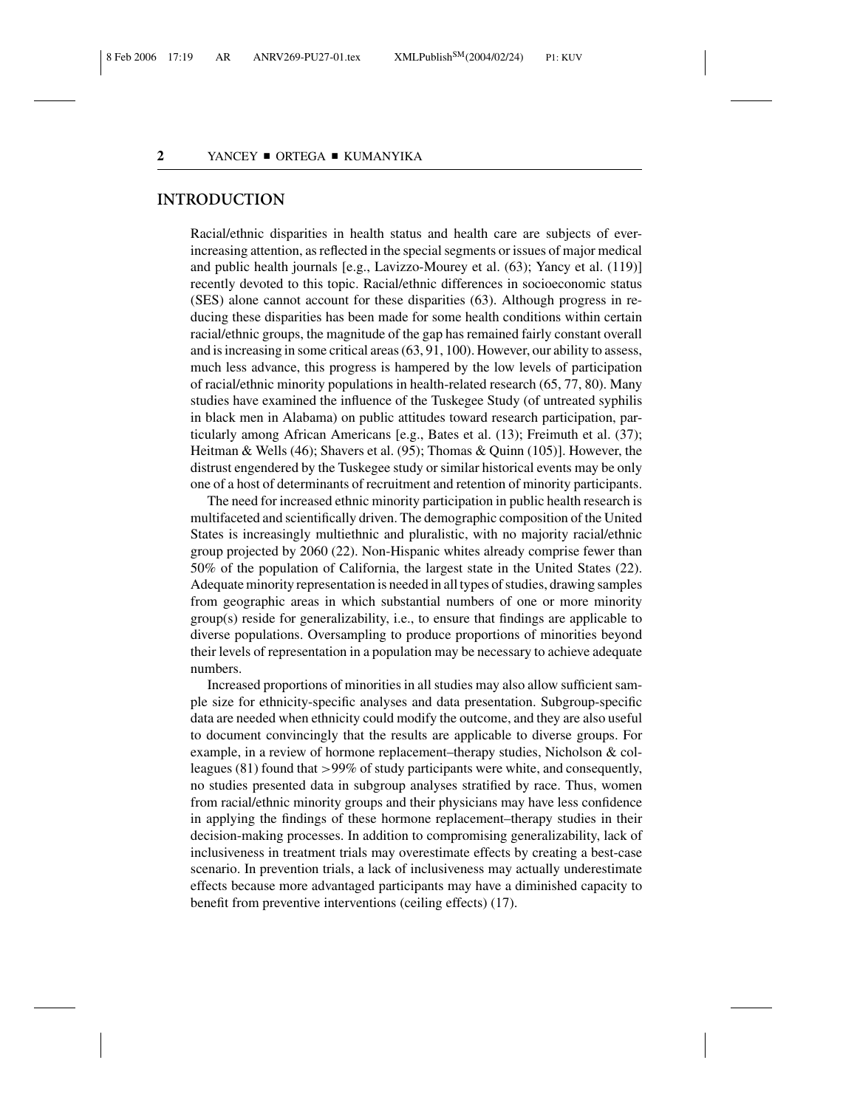## **INTRODUCTION**

Racial/ethnic disparities in health status and health care are subjects of everincreasing attention, as reflected in the special segments or issues of major medical and public health journals [e.g., Lavizzo-Mourey et al. (63); Yancy et al. (119)] recently devoted to this topic. Racial/ethnic differences in socioeconomic status (SES) alone cannot account for these disparities (63). Although progress in reducing these disparities has been made for some health conditions within certain racial/ethnic groups, the magnitude of the gap has remained fairly constant overall and is increasing in some critical areas (63, 91, 100). However, our ability to assess, much less advance, this progress is hampered by the low levels of participation of racial/ethnic minority populations in health-related research (65, 77, 80). Many studies have examined the influence of the Tuskegee Study (of untreated syphilis in black men in Alabama) on public attitudes toward research participation, particularly among African Americans [e.g., Bates et al. (13); Freimuth et al. (37); Heitman & Wells (46); Shavers et al. (95); Thomas & Quinn (105)]. However, the distrust engendered by the Tuskegee study or similar historical events may be only one of a host of determinants of recruitment and retention of minority participants.

The need for increased ethnic minority participation in public health research is multifaceted and scientifically driven. The demographic composition of the United States is increasingly multiethnic and pluralistic, with no majority racial/ethnic group projected by 2060 (22). Non-Hispanic whites already comprise fewer than 50% of the population of California, the largest state in the United States (22). Adequate minority representation is needed in all types of studies, drawing samples from geographic areas in which substantial numbers of one or more minority group(s) reside for generalizability, i.e., to ensure that findings are applicable to diverse populations. Oversampling to produce proportions of minorities beyond their levels of representation in a population may be necessary to achieve adequate numbers.

Increased proportions of minorities in all studies may also allow sufficient sample size for ethnicity-specific analyses and data presentation. Subgroup-specific data are needed when ethnicity could modify the outcome, and they are also useful to document convincingly that the results are applicable to diverse groups. For example, in a review of hormone replacement–therapy studies, Nicholson & colleagues (81) found that >99% of study participants were white, and consequently, no studies presented data in subgroup analyses stratified by race. Thus, women from racial/ethnic minority groups and their physicians may have less confidence in applying the findings of these hormone replacement–therapy studies in their decision-making processes. In addition to compromising generalizability, lack of inclusiveness in treatment trials may overestimate effects by creating a best-case scenario. In prevention trials, a lack of inclusiveness may actually underestimate effects because more advantaged participants may have a diminished capacity to benefit from preventive interventions (ceiling effects) (17).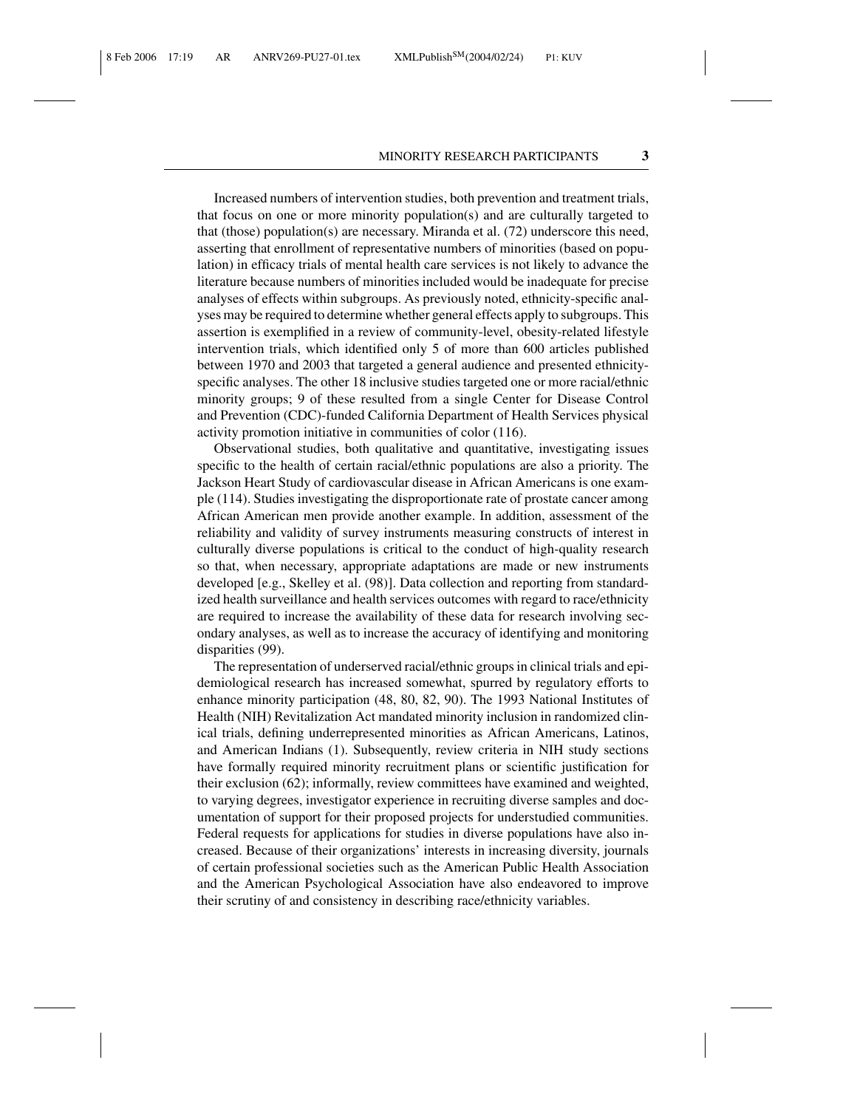Increased numbers of intervention studies, both prevention and treatment trials, that focus on one or more minority population(s) and are culturally targeted to that (those) population(s) are necessary. Miranda et al. (72) underscore this need, asserting that enrollment of representative numbers of minorities (based on population) in efficacy trials of mental health care services is not likely to advance the literature because numbers of minorities included would be inadequate for precise analyses of effects within subgroups. As previously noted, ethnicity-specific analyses may be required to determine whether general effects apply to subgroups. This assertion is exemplified in a review of community-level, obesity-related lifestyle intervention trials, which identified only 5 of more than 600 articles published between 1970 and 2003 that targeted a general audience and presented ethnicityspecific analyses. The other 18 inclusive studies targeted one or more racial/ethnic minority groups; 9 of these resulted from a single Center for Disease Control and Prevention (CDC)-funded California Department of Health Services physical activity promotion initiative in communities of color (116).

Observational studies, both qualitative and quantitative, investigating issues specific to the health of certain racial/ethnic populations are also a priority. The Jackson Heart Study of cardiovascular disease in African Americans is one example (114). Studies investigating the disproportionate rate of prostate cancer among African American men provide another example. In addition, assessment of the reliability and validity of survey instruments measuring constructs of interest in culturally diverse populations is critical to the conduct of high-quality research so that, when necessary, appropriate adaptations are made or new instruments developed [e.g., Skelley et al. (98)]. Data collection and reporting from standardized health surveillance and health services outcomes with regard to race/ethnicity are required to increase the availability of these data for research involving secondary analyses, as well as to increase the accuracy of identifying and monitoring disparities (99).

The representation of underserved racial/ethnic groups in clinical trials and epidemiological research has increased somewhat, spurred by regulatory efforts to enhance minority participation (48, 80, 82, 90). The 1993 National Institutes of Health (NIH) Revitalization Act mandated minority inclusion in randomized clinical trials, defining underrepresented minorities as African Americans, Latinos, and American Indians (1). Subsequently, review criteria in NIH study sections have formally required minority recruitment plans or scientific justification for their exclusion (62); informally, review committees have examined and weighted, to varying degrees, investigator experience in recruiting diverse samples and documentation of support for their proposed projects for understudied communities. Federal requests for applications for studies in diverse populations have also increased. Because of their organizations' interests in increasing diversity, journals of certain professional societies such as the American Public Health Association and the American Psychological Association have also endeavored to improve their scrutiny of and consistency in describing race/ethnicity variables.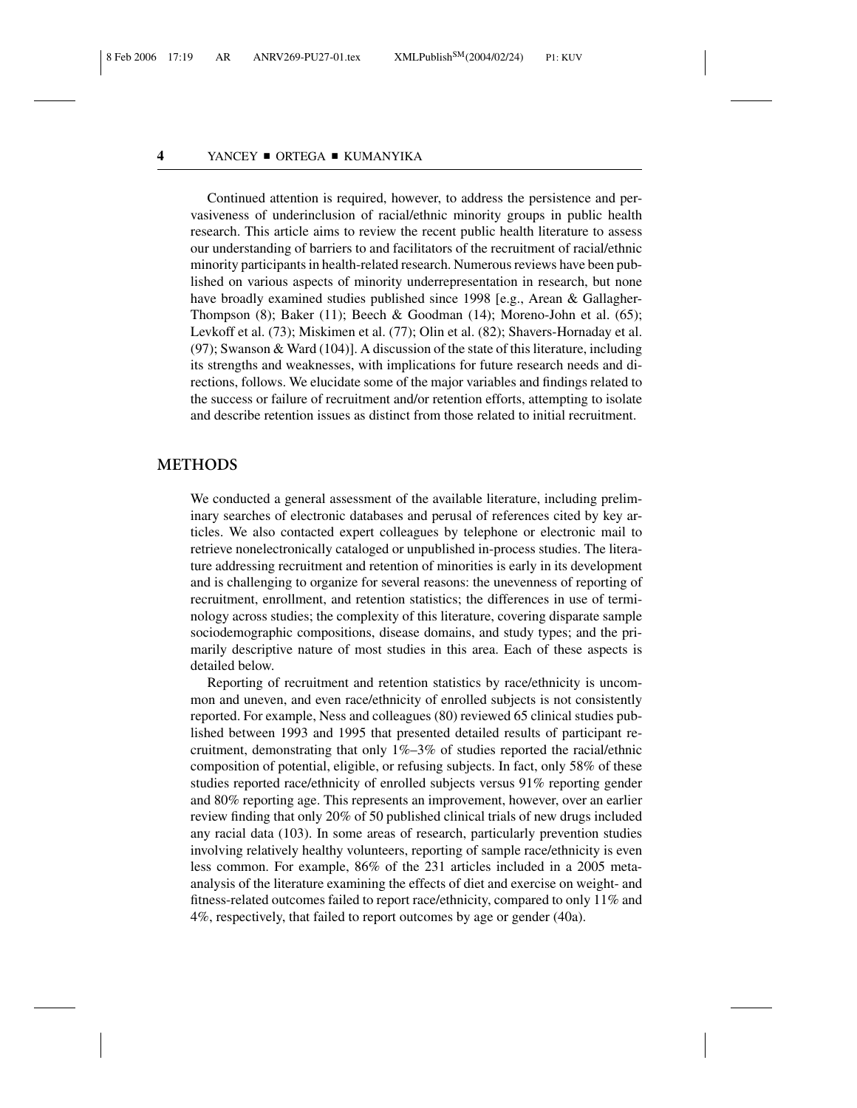Continued attention is required, however, to address the persistence and pervasiveness of underinclusion of racial/ethnic minority groups in public health research. This article aims to review the recent public health literature to assess our understanding of barriers to and facilitators of the recruitment of racial/ethnic minority participants in health-related research. Numerous reviews have been published on various aspects of minority underrepresentation in research, but none have broadly examined studies published since 1998 [e.g., Arean & Gallagher-Thompson (8); Baker (11); Beech & Goodman (14); Moreno-John et al. (65); Levkoff et al. (73); Miskimen et al. (77); Olin et al. (82); Shavers-Hornaday et al. (97); Swanson & Ward (104)]. A discussion of the state of this literature, including its strengths and weaknesses, with implications for future research needs and directions, follows. We elucidate some of the major variables and findings related to the success or failure of recruitment and/or retention efforts, attempting to isolate and describe retention issues as distinct from those related to initial recruitment.

#### **METHODS**

We conducted a general assessment of the available literature, including preliminary searches of electronic databases and perusal of references cited by key articles. We also contacted expert colleagues by telephone or electronic mail to retrieve nonelectronically cataloged or unpublished in-process studies. The literature addressing recruitment and retention of minorities is early in its development and is challenging to organize for several reasons: the unevenness of reporting of recruitment, enrollment, and retention statistics; the differences in use of terminology across studies; the complexity of this literature, covering disparate sample sociodemographic compositions, disease domains, and study types; and the primarily descriptive nature of most studies in this area. Each of these aspects is detailed below.

Reporting of recruitment and retention statistics by race/ethnicity is uncommon and uneven, and even race/ethnicity of enrolled subjects is not consistently reported. For example, Ness and colleagues (80) reviewed 65 clinical studies published between 1993 and 1995 that presented detailed results of participant recruitment, demonstrating that only  $1\% - 3\%$  of studies reported the racial/ethnic composition of potential, eligible, or refusing subjects. In fact, only 58% of these studies reported race/ethnicity of enrolled subjects versus 91% reporting gender and 80% reporting age. This represents an improvement, however, over an earlier review finding that only 20% of 50 published clinical trials of new drugs included any racial data (103). In some areas of research, particularly prevention studies involving relatively healthy volunteers, reporting of sample race/ethnicity is even less common. For example, 86% of the 231 articles included in a 2005 metaanalysis of the literature examining the effects of diet and exercise on weight- and fitness-related outcomes failed to report race/ethnicity, compared to only 11% and 4%, respectively, that failed to report outcomes by age or gender (40a).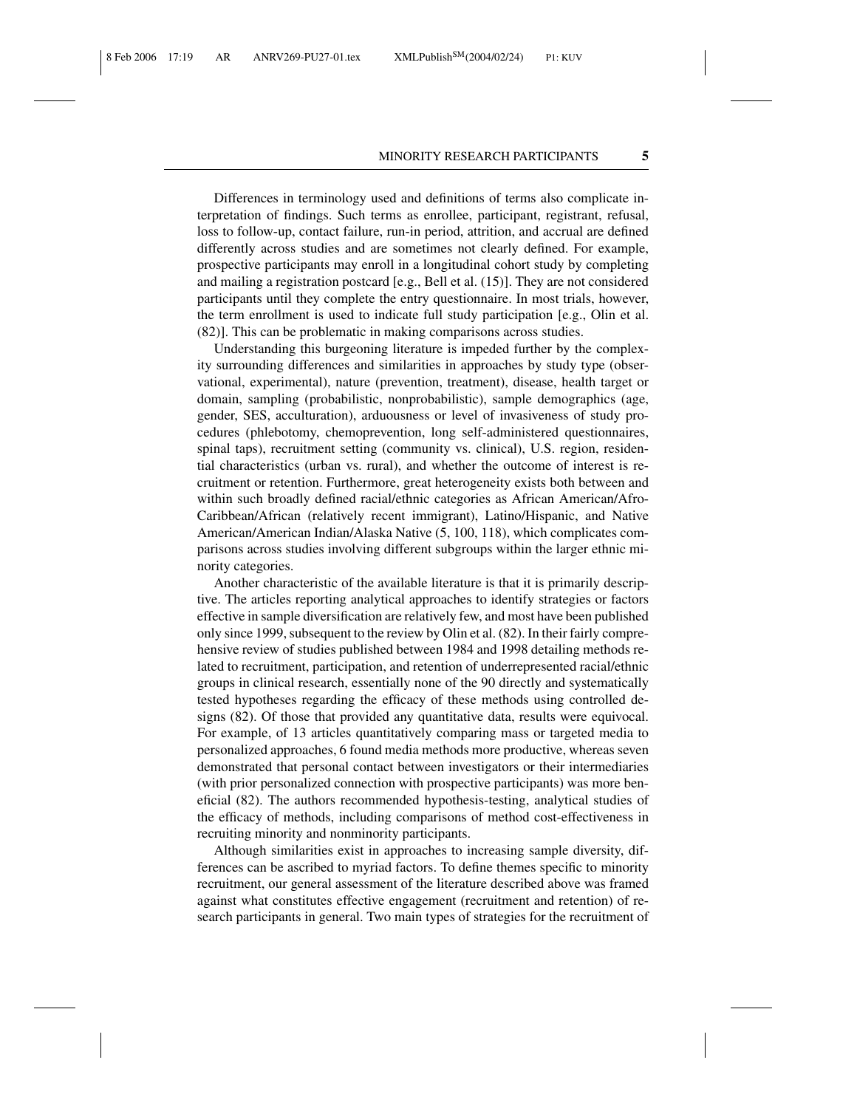Differences in terminology used and definitions of terms also complicate interpretation of findings. Such terms as enrollee, participant, registrant, refusal, loss to follow-up, contact failure, run-in period, attrition, and accrual are defined differently across studies and are sometimes not clearly defined. For example, prospective participants may enroll in a longitudinal cohort study by completing and mailing a registration postcard  $[e.g., Bell et al. (15)]$ . They are not considered participants until they complete the entry questionnaire. In most trials, however, the term enrollment is used to indicate full study participation [e.g., Olin et al. (82)]. This can be problematic in making comparisons across studies.

Understanding this burgeoning literature is impeded further by the complexity surrounding differences and similarities in approaches by study type (observational, experimental), nature (prevention, treatment), disease, health target or domain, sampling (probabilistic, nonprobabilistic), sample demographics (age, gender, SES, acculturation), arduousness or level of invasiveness of study procedures (phlebotomy, chemoprevention, long self-administered questionnaires, spinal taps), recruitment setting (community vs. clinical), U.S. region, residential characteristics (urban vs. rural), and whether the outcome of interest is recruitment or retention. Furthermore, great heterogeneity exists both between and within such broadly defined racial/ethnic categories as African American/Afro-Caribbean/African (relatively recent immigrant), Latino/Hispanic, and Native American/American Indian/Alaska Native (5, 100, 118), which complicates comparisons across studies involving different subgroups within the larger ethnic minority categories.

Another characteristic of the available literature is that it is primarily descriptive. The articles reporting analytical approaches to identify strategies or factors effective in sample diversification are relatively few, and most have been published only since 1999, subsequent to the review by Olin et al. (82). In their fairly comprehensive review of studies published between 1984 and 1998 detailing methods related to recruitment, participation, and retention of underrepresented racial/ethnic groups in clinical research, essentially none of the 90 directly and systematically tested hypotheses regarding the efficacy of these methods using controlled designs (82). Of those that provided any quantitative data, results were equivocal. For example, of 13 articles quantitatively comparing mass or targeted media to personalized approaches, 6 found media methods more productive, whereas seven demonstrated that personal contact between investigators or their intermediaries (with prior personalized connection with prospective participants) was more beneficial (82). The authors recommended hypothesis-testing, analytical studies of the efficacy of methods, including comparisons of method cost-effectiveness in recruiting minority and nonminority participants.

Although similarities exist in approaches to increasing sample diversity, differences can be ascribed to myriad factors. To define themes specific to minority recruitment, our general assessment of the literature described above was framed against what constitutes effective engagement (recruitment and retention) of research participants in general. Two main types of strategies for the recruitment of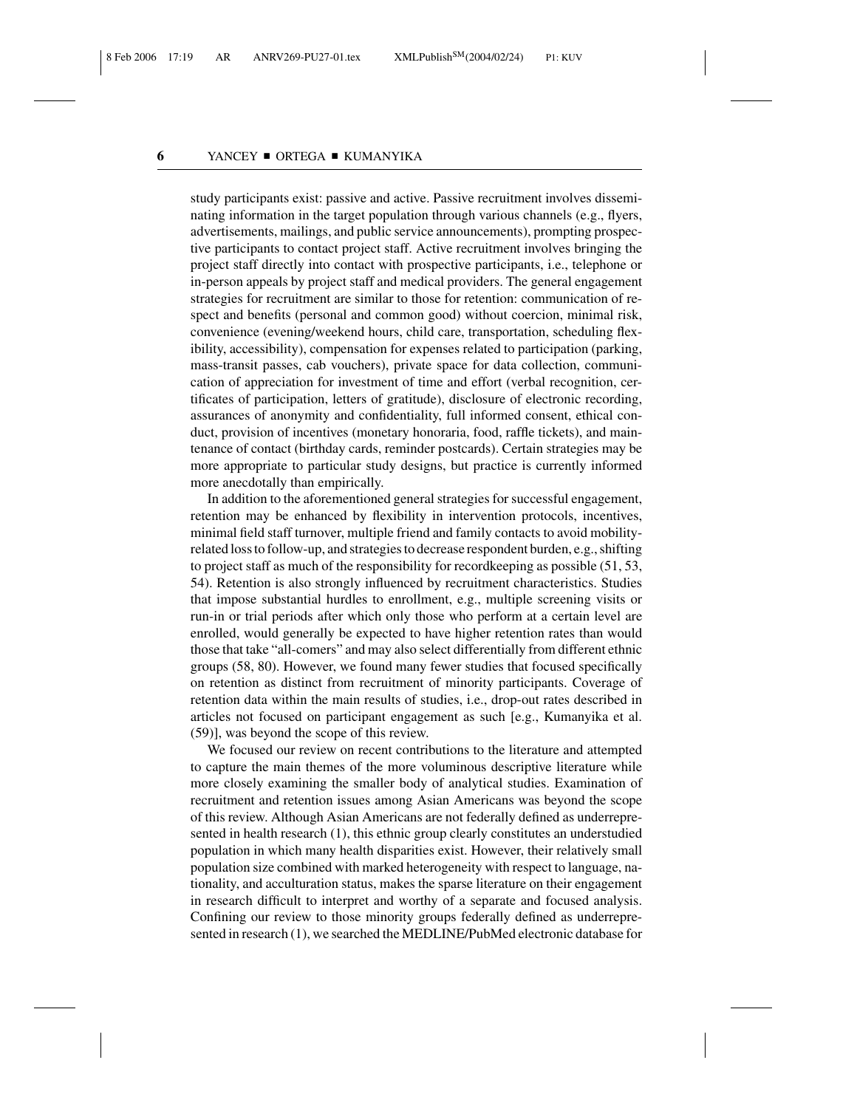study participants exist: passive and active. Passive recruitment involves disseminating information in the target population through various channels (e.g., flyers, advertisements, mailings, and public service announcements), prompting prospective participants to contact project staff. Active recruitment involves bringing the project staff directly into contact with prospective participants, i.e., telephone or in-person appeals by project staff and medical providers. The general engagement strategies for recruitment are similar to those for retention: communication of respect and benefits (personal and common good) without coercion, minimal risk, convenience (evening/weekend hours, child care, transportation, scheduling flexibility, accessibility), compensation for expenses related to participation (parking, mass-transit passes, cab vouchers), private space for data collection, communication of appreciation for investment of time and effort (verbal recognition, certificates of participation, letters of gratitude), disclosure of electronic recording, assurances of anonymity and confidentiality, full informed consent, ethical conduct, provision of incentives (monetary honoraria, food, raffle tickets), and maintenance of contact (birthday cards, reminder postcards). Certain strategies may be more appropriate to particular study designs, but practice is currently informed more anecdotally than empirically.

In addition to the aforementioned general strategies for successful engagement, retention may be enhanced by flexibility in intervention protocols, incentives, minimal field staff turnover, multiple friend and family contacts to avoid mobilityrelated loss to follow-up, and strategies to decrease respondent burden, e.g., shifting to project staff as much of the responsibility for recordkeeping as possible (51, 53, 54). Retention is also strongly influenced by recruitment characteristics. Studies that impose substantial hurdles to enrollment, e.g., multiple screening visits or run-in or trial periods after which only those who perform at a certain level are enrolled, would generally be expected to have higher retention rates than would those that take "all-comers" and may also select differentially from different ethnic groups (58, 80). However, we found many fewer studies that focused specifically on retention as distinct from recruitment of minority participants. Coverage of retention data within the main results of studies, i.e., drop-out rates described in articles not focused on participant engagement as such [e.g., Kumanyika et al. (59)], was beyond the scope of this review.

We focused our review on recent contributions to the literature and attempted to capture the main themes of the more voluminous descriptive literature while more closely examining the smaller body of analytical studies. Examination of recruitment and retention issues among Asian Americans was beyond the scope of this review. Although Asian Americans are not federally defined as underrepresented in health research (1), this ethnic group clearly constitutes an understudied population in which many health disparities exist. However, their relatively small population size combined with marked heterogeneity with respect to language, nationality, and acculturation status, makes the sparse literature on their engagement in research difficult to interpret and worthy of a separate and focused analysis. Confining our review to those minority groups federally defined as underrepresented in research (1), we searched the MEDLINE/PubMed electronic database for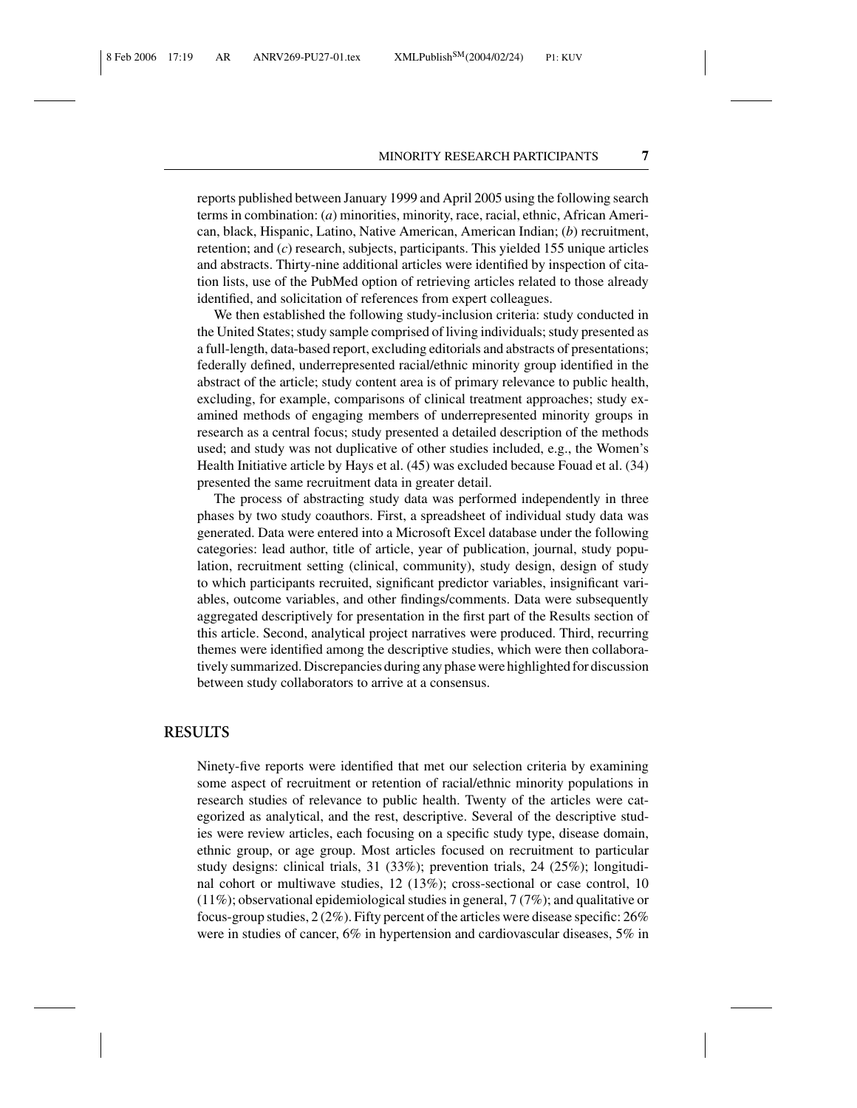reports published between January 1999 and April 2005 using the following search terms in combination: (*a*) minorities, minority, race, racial, ethnic, African American, black, Hispanic, Latino, Native American, American Indian; (*b*) recruitment, retention; and (*c*) research, subjects, participants. This yielded 155 unique articles and abstracts. Thirty-nine additional articles were identified by inspection of citation lists, use of the PubMed option of retrieving articles related to those already identified, and solicitation of references from expert colleagues.

We then established the following study-inclusion criteria: study conducted in the United States; study sample comprised of living individuals; study presented as a full-length, data-based report, excluding editorials and abstracts of presentations; federally defined, underrepresented racial/ethnic minority group identified in the abstract of the article; study content area is of primary relevance to public health, excluding, for example, comparisons of clinical treatment approaches; study examined methods of engaging members of underrepresented minority groups in research as a central focus; study presented a detailed description of the methods used; and study was not duplicative of other studies included, e.g., the Women's Health Initiative article by Hays et al. (45) was excluded because Fouad et al. (34) presented the same recruitment data in greater detail.

The process of abstracting study data was performed independently in three phases by two study coauthors. First, a spreadsheet of individual study data was generated. Data were entered into a Microsoft Excel database under the following categories: lead author, title of article, year of publication, journal, study population, recruitment setting (clinical, community), study design, design of study to which participants recruited, significant predictor variables, insignificant variables, outcome variables, and other findings/comments. Data were subsequently aggregated descriptively for presentation in the first part of the Results section of this article. Second, analytical project narratives were produced. Third, recurring themes were identified among the descriptive studies, which were then collaboratively summarized. Discrepancies during any phase were highlighted for discussion between study collaborators to arrive at a consensus.

#### **RESULTS**

Ninety-five reports were identified that met our selection criteria by examining some aspect of recruitment or retention of racial/ethnic minority populations in research studies of relevance to public health. Twenty of the articles were categorized as analytical, and the rest, descriptive. Several of the descriptive studies were review articles, each focusing on a specific study type, disease domain, ethnic group, or age group. Most articles focused on recruitment to particular study designs: clinical trials, 31 (33%); prevention trials, 24 (25%); longitudinal cohort or multiwave studies, 12 (13%); cross-sectional or case control, 10 (11%); observational epidemiological studies in general, 7 (7%); and qualitative or focus-group studies, 2 (2%). Fifty percent of the articles were disease specific: 26% were in studies of cancer, 6% in hypertension and cardiovascular diseases, 5% in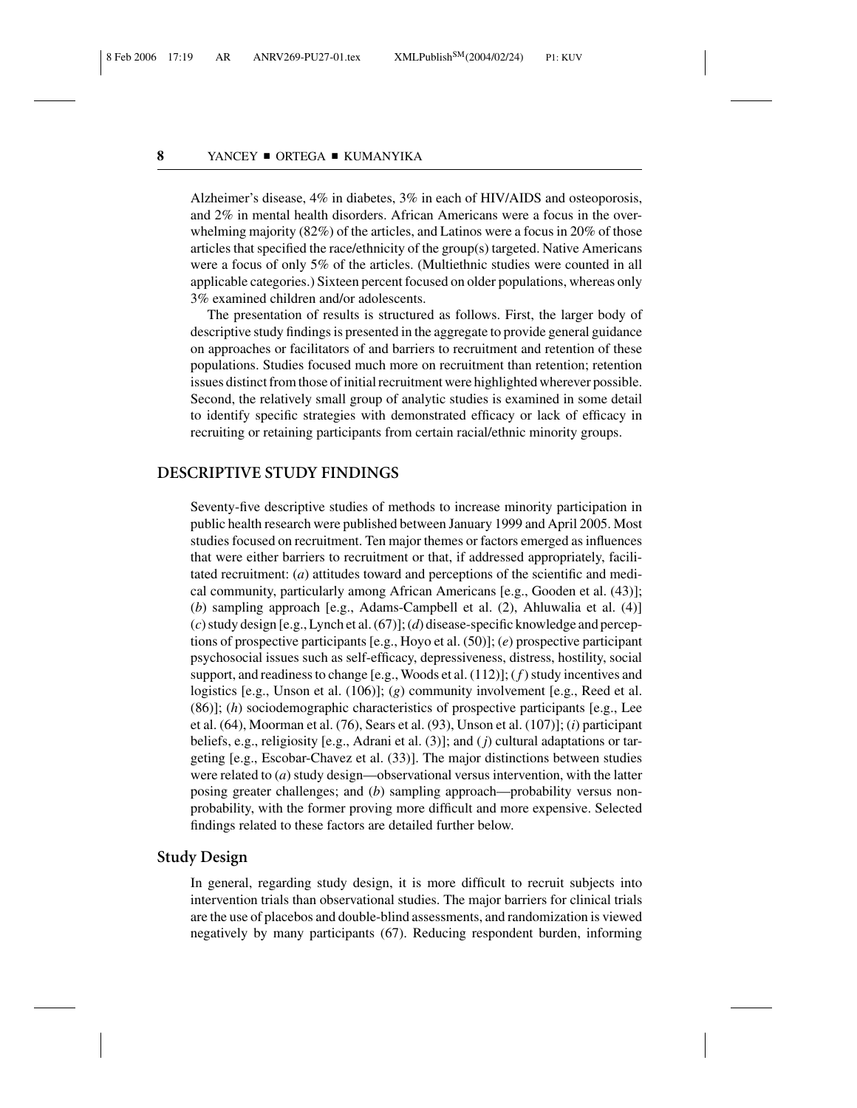Alzheimer's disease, 4% in diabetes, 3% in each of HIV/AIDS and osteoporosis, and 2% in mental health disorders. African Americans were a focus in the overwhelming majority (82%) of the articles, and Latinos were a focus in 20% of those articles that specified the race/ethnicity of the group(s) targeted. Native Americans were a focus of only 5% of the articles. (Multiethnic studies were counted in all applicable categories.) Sixteen percent focused on older populations, whereas only 3% examined children and/or adolescents.

The presentation of results is structured as follows. First, the larger body of descriptive study findings is presented in the aggregate to provide general guidance on approaches or facilitators of and barriers to recruitment and retention of these populations. Studies focused much more on recruitment than retention; retention issues distinct from those of initial recruitment were highlighted wherever possible. Second, the relatively small group of analytic studies is examined in some detail to identify specific strategies with demonstrated efficacy or lack of efficacy in recruiting or retaining participants from certain racial/ethnic minority groups.

## **DESCRIPTIVE STUDY FINDINGS**

Seventy-five descriptive studies of methods to increase minority participation in public health research were published between January 1999 and April 2005. Most studies focused on recruitment. Ten major themes or factors emerged as influences that were either barriers to recruitment or that, if addressed appropriately, facilitated recruitment: (*a*) attitudes toward and perceptions of the scientific and medical community, particularly among African Americans [e.g., Gooden et al. (43)]; (*b*) sampling approach [e.g., Adams-Campbell et al. (2), Ahluwalia et al. (4)] (*c*) study design [e.g., Lynch et al. (67)]; (*d*) disease-specific knowledge and perceptions of prospective participants [e.g., Hoyo et al. (50)]; (*e*) prospective participant psychosocial issues such as self-efficacy, depressiveness, distress, hostility, social support, and readiness to change [e.g., Woods et al. (112)]; (*f* ) study incentives and logistics [e.g., Unson et al. (106)]; (*g*) community involvement [e.g., Reed et al. (86)]; (*h*) sociodemographic characteristics of prospective participants [e.g., Lee et al. (64), Moorman et al. (76), Sears et al. (93), Unson et al. (107)]; (*i*) participant beliefs, e.g., religiosity [e.g., Adrani et al. (3)]; and (*j*) cultural adaptations or targeting [e.g., Escobar-Chavez et al. (33)]. The major distinctions between studies were related to (*a*) study design—observational versus intervention, with the latter posing greater challenges; and (*b*) sampling approach—probability versus nonprobability, with the former proving more difficult and more expensive. Selected findings related to these factors are detailed further below.

#### **Study Design**

In general, regarding study design, it is more difficult to recruit subjects into intervention trials than observational studies. The major barriers for clinical trials are the use of placebos and double-blind assessments, and randomization is viewed negatively by many participants (67). Reducing respondent burden, informing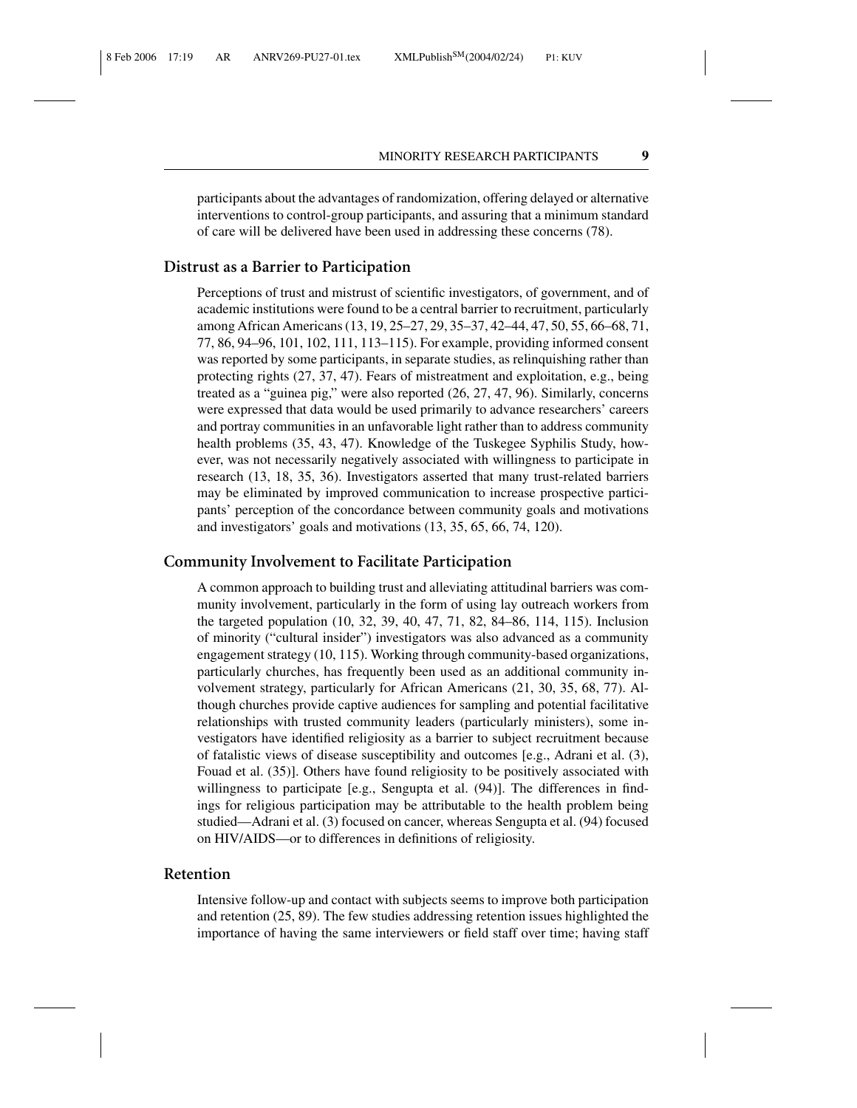participants about the advantages of randomization, offering delayed or alternative interventions to control-group participants, and assuring that a minimum standard of care will be delivered have been used in addressing these concerns (78).

# **Distrust as a Barrier to Participation**

Perceptions of trust and mistrust of scientific investigators, of government, and of academic institutions were found to be a central barrier to recruitment, particularly among African Americans (13, 19, 25–27, 29, 35–37, 42–44, 47, 50, 55, 66–68, 71, 77, 86, 94–96, 101, 102, 111, 113–115). For example, providing informed consent was reported by some participants, in separate studies, as relinquishing rather than protecting rights (27, 37, 47). Fears of mistreatment and exploitation, e.g., being treated as a "guinea pig," were also reported (26, 27, 47, 96). Similarly, concerns were expressed that data would be used primarily to advance researchers' careers and portray communities in an unfavorable light rather than to address community health problems (35, 43, 47). Knowledge of the Tuskegee Syphilis Study, however, was not necessarily negatively associated with willingness to participate in research (13, 18, 35, 36). Investigators asserted that many trust-related barriers may be eliminated by improved communication to increase prospective participants' perception of the concordance between community goals and motivations and investigators' goals and motivations (13, 35, 65, 66, 74, 120).

#### **Community Involvement to Facilitate Participation**

A common approach to building trust and alleviating attitudinal barriers was community involvement, particularly in the form of using lay outreach workers from the targeted population (10, 32, 39, 40, 47, 71, 82, 84–86, 114, 115). Inclusion of minority ("cultural insider") investigators was also advanced as a community engagement strategy (10, 115). Working through community-based organizations, particularly churches, has frequently been used as an additional community involvement strategy, particularly for African Americans (21, 30, 35, 68, 77). Although churches provide captive audiences for sampling and potential facilitative relationships with trusted community leaders (particularly ministers), some investigators have identified religiosity as a barrier to subject recruitment because of fatalistic views of disease susceptibility and outcomes [e.g., Adrani et al. (3), Fouad et al. (35)]. Others have found religiosity to be positively associated with willingness to participate [e.g., Sengupta et al. (94)]. The differences in findings for religious participation may be attributable to the health problem being studied—Adrani et al. (3) focused on cancer, whereas Sengupta et al. (94) focused on HIV/AIDS—or to differences in definitions of religiosity.

# **Retention**

Intensive follow-up and contact with subjects seems to improve both participation and retention (25, 89). The few studies addressing retention issues highlighted the importance of having the same interviewers or field staff over time; having staff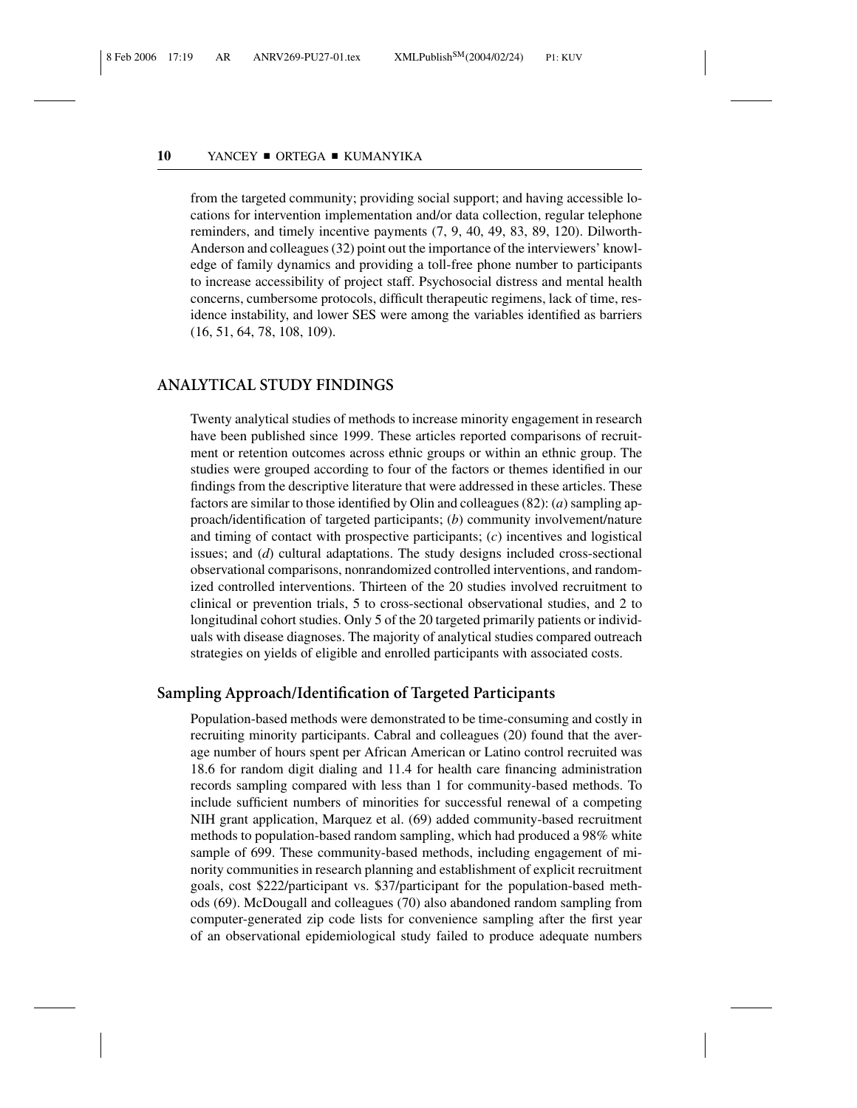from the targeted community; providing social support; and having accessible locations for intervention implementation and/or data collection, regular telephone reminders, and timely incentive payments (7, 9, 40, 49, 83, 89, 120). Dilworth-Anderson and colleagues (32) point out the importance of the interviewers' knowledge of family dynamics and providing a toll-free phone number to participants to increase accessibility of project staff. Psychosocial distress and mental health concerns, cumbersome protocols, difficult therapeutic regimens, lack of time, residence instability, and lower SES were among the variables identified as barriers (16, 51, 64, 78, 108, 109).

## **ANALYTICAL STUDY FINDINGS**

Twenty analytical studies of methods to increase minority engagement in research have been published since 1999. These articles reported comparisons of recruitment or retention outcomes across ethnic groups or within an ethnic group. The studies were grouped according to four of the factors or themes identified in our findings from the descriptive literature that were addressed in these articles. These factors are similar to those identified by Olin and colleagues (82): (*a*) sampling approach/identification of targeted participants; (*b*) community involvement/nature and timing of contact with prospective participants; (*c*) incentives and logistical issues; and (*d*) cultural adaptations. The study designs included cross-sectional observational comparisons, nonrandomized controlled interventions, and randomized controlled interventions. Thirteen of the 20 studies involved recruitment to clinical or prevention trials, 5 to cross-sectional observational studies, and 2 to longitudinal cohort studies. Only 5 of the 20 targeted primarily patients or individuals with disease diagnoses. The majority of analytical studies compared outreach strategies on yields of eligible and enrolled participants with associated costs.

# **Sampling Approach/Identification of Targeted Participants**

Population-based methods were demonstrated to be time-consuming and costly in recruiting minority participants. Cabral and colleagues (20) found that the average number of hours spent per African American or Latino control recruited was 18.6 for random digit dialing and 11.4 for health care financing administration records sampling compared with less than 1 for community-based methods. To include sufficient numbers of minorities for successful renewal of a competing NIH grant application, Marquez et al. (69) added community-based recruitment methods to population-based random sampling, which had produced a 98% white sample of 699. These community-based methods, including engagement of minority communities in research planning and establishment of explicit recruitment goals, cost \$222/participant vs. \$37/participant for the population-based methods (69). McDougall and colleagues (70) also abandoned random sampling from computer-generated zip code lists for convenience sampling after the first year of an observational epidemiological study failed to produce adequate numbers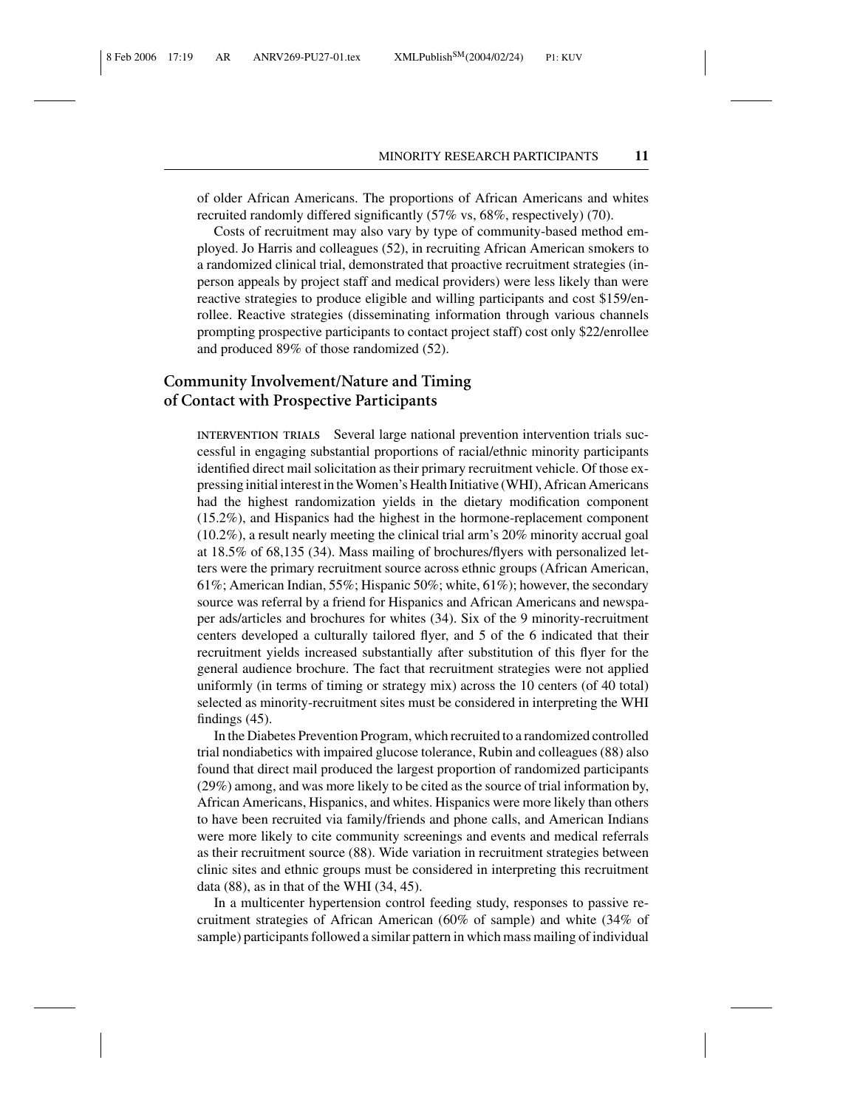of older African Americans. The proportions of African Americans and whites recruited randomly differed significantly (57% vs, 68%, respectively) (70).

Costs of recruitment may also vary by type of community-based method employed. Jo Harris and colleagues (52), in recruiting African American smokers to a randomized clinical trial, demonstrated that proactive recruitment strategies (inperson appeals by project staff and medical providers) were less likely than were reactive strategies to produce eligible and willing participants and cost \$159/enrollee. Reactive strategies (disseminating information through various channels prompting prospective participants to contact project staff) cost only \$22/enrollee and produced 89% of those randomized (52).

# **Community Involvement/Nature and Timing of Contact with Prospective Participants**

**INTERVENTION TRIALS** Several large national prevention intervention trials successful in engaging substantial proportions of racial/ethnic minority participants identified direct mail solicitation as their primary recruitment vehicle. Of those expressing initial interest in the Women's Health Initiative (WHI), African Americans had the highest randomization yields in the dietary modification component (15.2%), and Hispanics had the highest in the hormone-replacement component (10.2%), a result nearly meeting the clinical trial arm's 20% minority accrual goal at 18.5% of 68,135 (34). Mass mailing of brochures/flyers with personalized letters were the primary recruitment source across ethnic groups (African American, 61%; American Indian, 55%; Hispanic 50%; white, 61%); however, the secondary source was referral by a friend for Hispanics and African Americans and newspaper ads/articles and brochures for whites (34). Six of the 9 minority-recruitment centers developed a culturally tailored flyer, and 5 of the 6 indicated that their recruitment yields increased substantially after substitution of this flyer for the general audience brochure. The fact that recruitment strategies were not applied uniformly (in terms of timing or strategy mix) across the 10 centers (of 40 total) selected as minority-recruitment sites must be considered in interpreting the WHI findings (45).

In the Diabetes Prevention Program, which recruited to a randomized controlled trial nondiabetics with impaired glucose tolerance, Rubin and colleagues (88) also found that direct mail produced the largest proportion of randomized participants (29%) among, and was more likely to be cited as the source of trial information by, African Americans, Hispanics, and whites. Hispanics were more likely than others to have been recruited via family/friends and phone calls, and American Indians were more likely to cite community screenings and events and medical referrals as their recruitment source (88). Wide variation in recruitment strategies between clinic sites and ethnic groups must be considered in interpreting this recruitment data (88), as in that of the WHI (34, 45).

In a multicenter hypertension control feeding study, responses to passive recruitment strategies of African American (60% of sample) and white (34% of sample) participants followed a similar pattern in which mass mailing of individual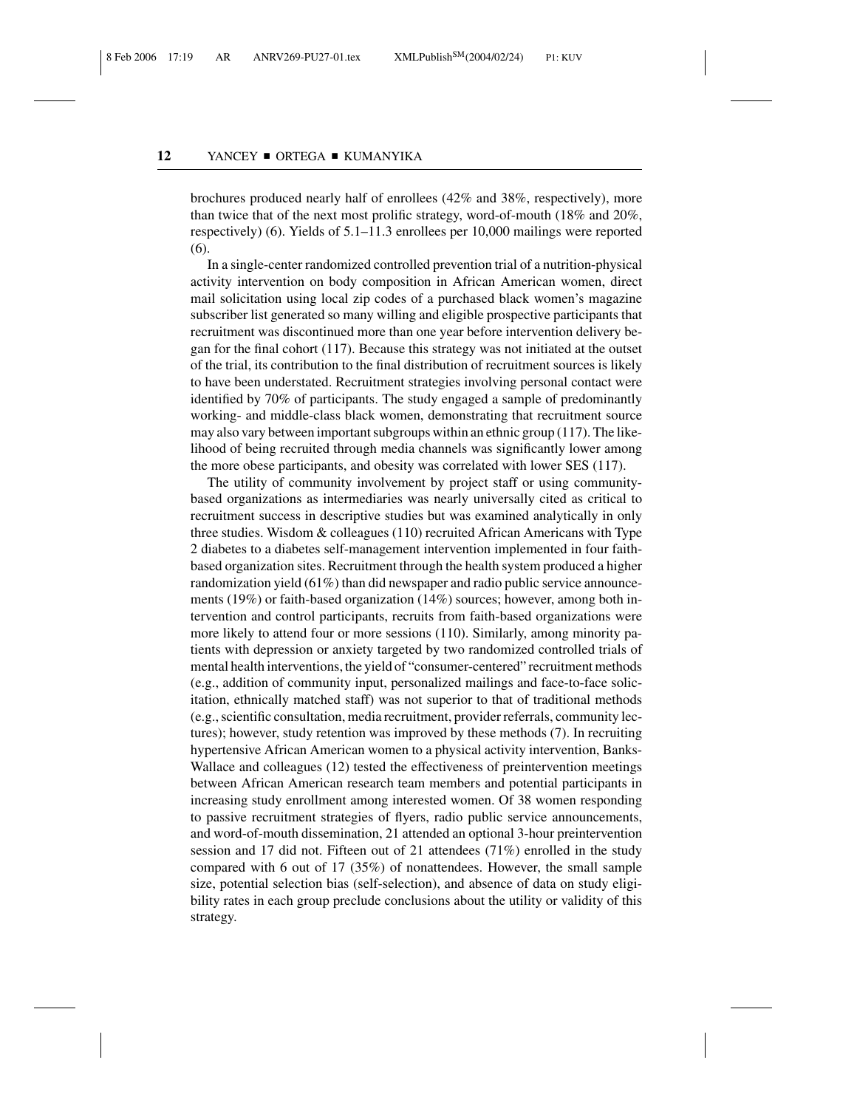brochures produced nearly half of enrollees (42% and 38%, respectively), more than twice that of the next most prolific strategy, word-of-mouth (18% and 20%, respectively) (6). Yields of 5.1–11.3 enrollees per 10,000 mailings were reported (6).

In a single-center randomized controlled prevention trial of a nutrition-physical activity intervention on body composition in African American women, direct mail solicitation using local zip codes of a purchased black women's magazine subscriber list generated so many willing and eligible prospective participants that recruitment was discontinued more than one year before intervention delivery began for the final cohort (117). Because this strategy was not initiated at the outset of the trial, its contribution to the final distribution of recruitment sources is likely to have been understated. Recruitment strategies involving personal contact were identified by 70% of participants. The study engaged a sample of predominantly working- and middle-class black women, demonstrating that recruitment source may also vary between important subgroups within an ethnic group (117). The likelihood of being recruited through media channels was significantly lower among the more obese participants, and obesity was correlated with lower SES (117).

The utility of community involvement by project staff or using communitybased organizations as intermediaries was nearly universally cited as critical to recruitment success in descriptive studies but was examined analytically in only three studies. Wisdom & colleagues (110) recruited African Americans with Type 2 diabetes to a diabetes self-management intervention implemented in four faithbased organization sites. Recruitment through the health system produced a higher randomization yield (61%) than did newspaper and radio public service announcements (19%) or faith-based organization (14%) sources; however, among both intervention and control participants, recruits from faith-based organizations were more likely to attend four or more sessions (110). Similarly, among minority patients with depression or anxiety targeted by two randomized controlled trials of mental health interventions, the yield of "consumer-centered" recruitment methods (e.g., addition of community input, personalized mailings and face-to-face solicitation, ethnically matched staff) was not superior to that of traditional methods (e.g., scientific consultation, media recruitment, provider referrals, community lectures); however, study retention was improved by these methods (7). In recruiting hypertensive African American women to a physical activity intervention, Banks-Wallace and colleagues (12) tested the effectiveness of preintervention meetings between African American research team members and potential participants in increasing study enrollment among interested women. Of 38 women responding to passive recruitment strategies of flyers, radio public service announcements, and word-of-mouth dissemination, 21 attended an optional 3-hour preintervention session and 17 did not. Fifteen out of 21 attendees (71%) enrolled in the study compared with 6 out of 17 (35%) of nonattendees. However, the small sample size, potential selection bias (self-selection), and absence of data on study eligibility rates in each group preclude conclusions about the utility or validity of this strategy.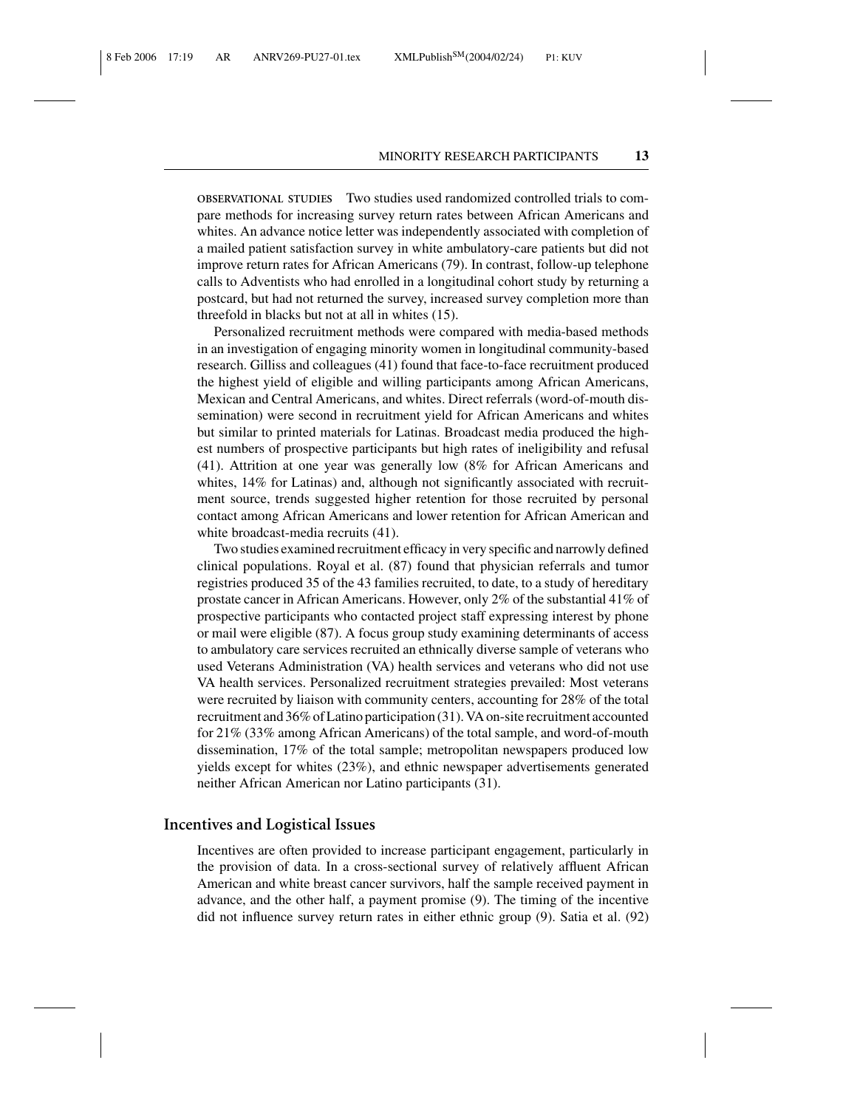**OBSERVATIONAL STUDIES** Two studies used randomized controlled trials to compare methods for increasing survey return rates between African Americans and whites. An advance notice letter was independently associated with completion of a mailed patient satisfaction survey in white ambulatory-care patients but did not improve return rates for African Americans (79). In contrast, follow-up telephone calls to Adventists who had enrolled in a longitudinal cohort study by returning a postcard, but had not returned the survey, increased survey completion more than threefold in blacks but not at all in whites (15).

Personalized recruitment methods were compared with media-based methods in an investigation of engaging minority women in longitudinal community-based research. Gilliss and colleagues (41) found that face-to-face recruitment produced the highest yield of eligible and willing participants among African Americans, Mexican and Central Americans, and whites. Direct referrals (word-of-mouth dissemination) were second in recruitment yield for African Americans and whites but similar to printed materials for Latinas. Broadcast media produced the highest numbers of prospective participants but high rates of ineligibility and refusal (41). Attrition at one year was generally low (8% for African Americans and whites, 14% for Latinas) and, although not significantly associated with recruitment source, trends suggested higher retention for those recruited by personal contact among African Americans and lower retention for African American and white broadcast-media recruits (41).

Two studies examined recruitment efficacy in very specific and narrowly defined clinical populations. Royal et al. (87) found that physician referrals and tumor registries produced 35 of the 43 families recruited, to date, to a study of hereditary prostate cancer in African Americans. However, only 2% of the substantial 41% of prospective participants who contacted project staff expressing interest by phone or mail were eligible (87). A focus group study examining determinants of access to ambulatory care services recruited an ethnically diverse sample of veterans who used Veterans Administration (VA) health services and veterans who did not use VA health services. Personalized recruitment strategies prevailed: Most veterans were recruited by liaison with community centers, accounting for 28% of the total recruitment and 36% of Latino participation (31). VA on-site recruitment accounted for 21% (33% among African Americans) of the total sample, and word-of-mouth dissemination, 17% of the total sample; metropolitan newspapers produced low yields except for whites (23%), and ethnic newspaper advertisements generated neither African American nor Latino participants (31).

#### **Incentives and Logistical Issues**

Incentives are often provided to increase participant engagement, particularly in the provision of data. In a cross-sectional survey of relatively affluent African American and white breast cancer survivors, half the sample received payment in advance, and the other half, a payment promise (9). The timing of the incentive did not influence survey return rates in either ethnic group (9). Satia et al. (92)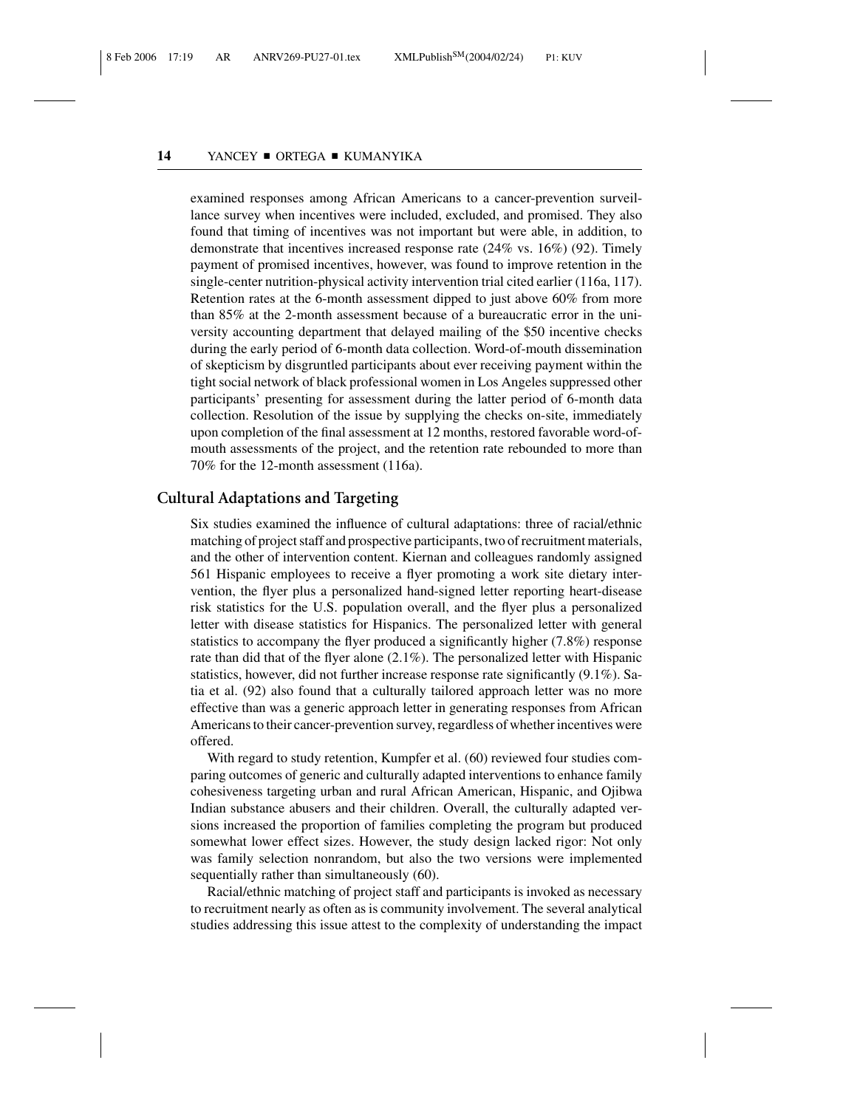examined responses among African Americans to a cancer-prevention surveillance survey when incentives were included, excluded, and promised. They also found that timing of incentives was not important but were able, in addition, to demonstrate that incentives increased response rate (24% vs. 16%) (92). Timely payment of promised incentives, however, was found to improve retention in the single-center nutrition-physical activity intervention trial cited earlier (116a, 117). Retention rates at the 6-month assessment dipped to just above 60% from more than 85% at the 2-month assessment because of a bureaucratic error in the university accounting department that delayed mailing of the \$50 incentive checks during the early period of 6-month data collection. Word-of-mouth dissemination of skepticism by disgruntled participants about ever receiving payment within the tight social network of black professional women in Los Angeles suppressed other participants' presenting for assessment during the latter period of 6-month data collection. Resolution of the issue by supplying the checks on-site, immediately upon completion of the final assessment at 12 months, restored favorable word-ofmouth assessments of the project, and the retention rate rebounded to more than 70% for the 12-month assessment (116a).

## **Cultural Adaptations and Targeting**

Six studies examined the influence of cultural adaptations: three of racial/ethnic matching of project staff and prospective participants, two of recruitment materials, and the other of intervention content. Kiernan and colleagues randomly assigned 561 Hispanic employees to receive a flyer promoting a work site dietary intervention, the flyer plus a personalized hand-signed letter reporting heart-disease risk statistics for the U.S. population overall, and the flyer plus a personalized letter with disease statistics for Hispanics. The personalized letter with general statistics to accompany the flyer produced a significantly higher (7.8%) response rate than did that of the flyer alone (2.1%). The personalized letter with Hispanic statistics, however, did not further increase response rate significantly (9.1%). Satia et al. (92) also found that a culturally tailored approach letter was no more effective than was a generic approach letter in generating responses from African Americans to their cancer-prevention survey, regardless of whether incentives were offered.

With regard to study retention, Kumpfer et al. (60) reviewed four studies comparing outcomes of generic and culturally adapted interventions to enhance family cohesiveness targeting urban and rural African American, Hispanic, and Ojibwa Indian substance abusers and their children. Overall, the culturally adapted versions increased the proportion of families completing the program but produced somewhat lower effect sizes. However, the study design lacked rigor: Not only was family selection nonrandom, but also the two versions were implemented sequentially rather than simultaneously (60).

Racial/ethnic matching of project staff and participants is invoked as necessary to recruitment nearly as often as is community involvement. The several analytical studies addressing this issue attest to the complexity of understanding the impact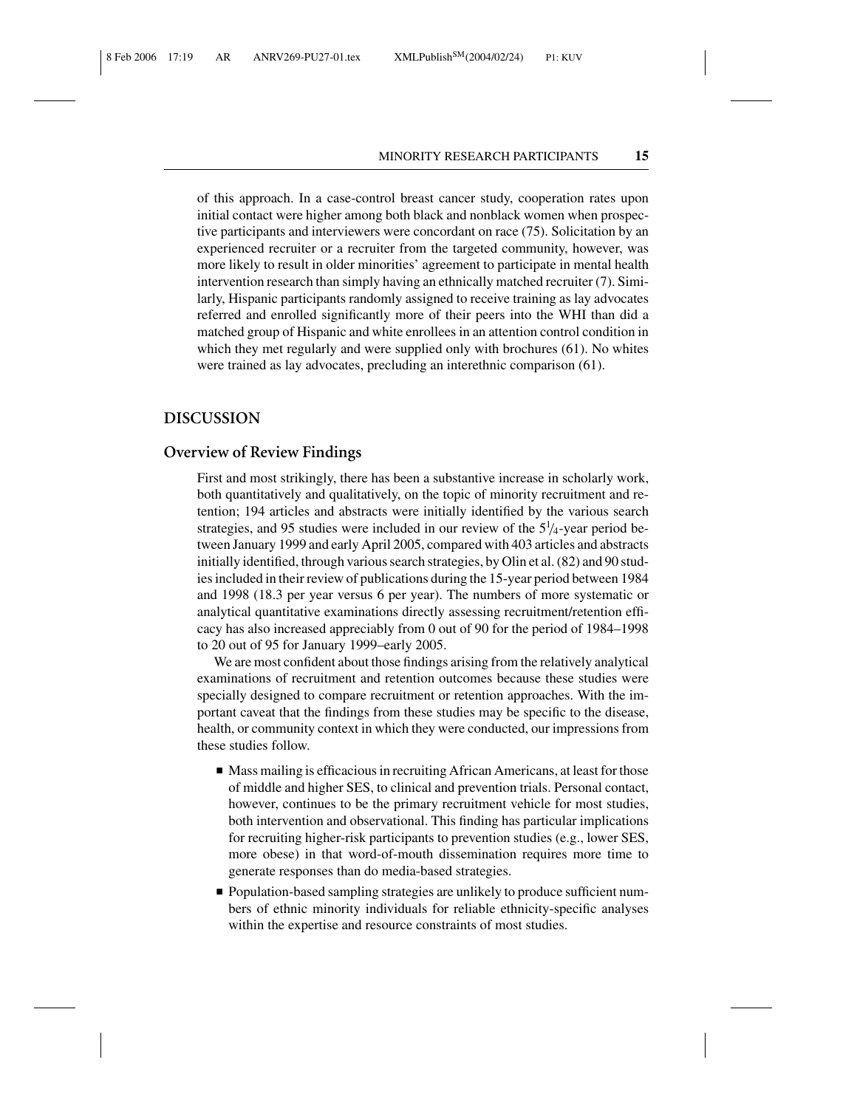of this approach. In a case-control breast cancer study, cooperation rates upon initial contact were higher among both black and nonblack women when prospective participants and interviewers were concordant on race (75). Solicitation by an experienced recruiter or a recruiter from the targeted community, however, was more likely to result in older minorities' agreement to participate in mental health intervention research than simply having an ethnically matched recruiter (7). Similarly, Hispanic participants randomly assigned to receive training as lay advocates referred and enrolled significantly more of their peers into the WHI than did a matched group of Hispanic and white enrollees in an attention control condition in which they met regularly and were supplied only with brochures (61). No whites were trained as lay advocates, precluding an interethnic comparison (61).

#### **DISCUSSION**

#### **Overview of Review Findings**

First and most strikingly, there has been a substantive increase in scholarly work, both quantitatively and qualitatively, on the topic of minority recruitment and retention; 194 articles and abstracts were initially identified by the various search strategies, and 95 studies were included in our review of the  $5\frac{1}{4}$ -year period between January 1999 and early April 2005, compared with 403 articles and abstracts initially identified, through various search strategies, by Olin et al. (82) and 90 studies included in their review of publications during the 15-year period between 1984 and 1998 (18.3 per year versus 6 per year). The numbers of more systematic or analytical quantitative examinations directly assessing recruitment/retention efficacy has also increased appreciably from 0 out of 90 for the period of 1984–1998 to 20 out of 95 for January 1999–early 2005.

We are most confident about those findings arising from the relatively analytical examinations of recruitment and retention outcomes because these studies were specially designed to compare recruitment or retention approaches. With the important caveat that the findings from these studies may be specific to the disease, health, or community context in which they were conducted, our impressions from these studies follow.

- Mass mailing is efficacious in recruiting African Americans, at least for those of middle and higher SES, to clinical and prevention trials. Personal contact, however, continues to be the primary recruitment vehicle for most studies, both intervention and observational. This finding has particular implications for recruiting higher-risk participants to prevention studies (e.g., lower SES, more obese) in that word-of-mouth dissemination requires more time to generate responses than do media-based strategies.
- Population-based sampling strategies are unlikely to produce sufficient numbers of ethnic minority individuals for reliable ethnicity-specific analyses within the expertise and resource constraints of most studies.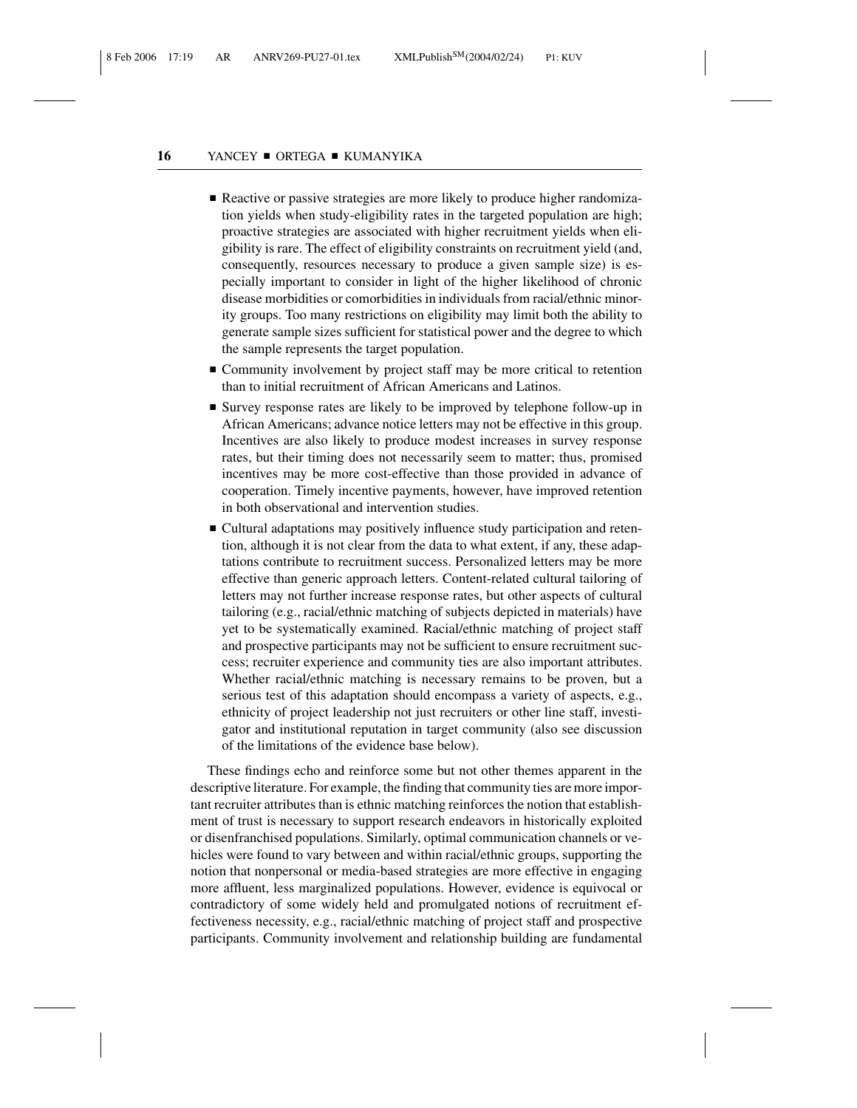- Reactive or passive strategies are more likely to produce higher randomization yields when study-eligibility rates in the targeted population are high; proactive strategies are associated with higher recruitment yields when eligibility is rare. The effect of eligibility constraints on recruitment yield (and, consequently, resources necessary to produce a given sample size) is especially important to consider in light of the higher likelihood of chronic disease morbidities or comorbidities in individuals from racial/ethnic minority groups. Too many restrictions on eligibility may limit both the ability to generate sample sizes sufficient for statistical power and the degree to which the sample represents the target population.
- Community involvement by project staff may be more critical to retention than to initial recruitment of African Americans and Latinos.
- Survey response rates are likely to be improved by telephone follow-up in African Americans; advance notice letters may not be effective in this group. Incentives are also likely to produce modest increases in survey response rates, but their timing does not necessarily seem to matter; thus, promised incentives may be more cost-effective than those provided in advance of cooperation. Timely incentive payments, however, have improved retention in both observational and intervention studies.
- Cultural adaptations may positively influence study participation and retention, although it is not clear from the data to what extent, if any, these adaptations contribute to recruitment success. Personalized letters may be more effective than generic approach letters. Content-related cultural tailoring of letters may not further increase response rates, but other aspects of cultural tailoring (e.g., racial/ethnic matching of subjects depicted in materials) have yet to be systematically examined. Racial/ethnic matching of project staff and prospective participants may not be sufficient to ensure recruitment success; recruiter experience and community ties are also important attributes. Whether racial/ethnic matching is necessary remains to be proven, but a serious test of this adaptation should encompass a variety of aspects, e.g., ethnicity of project leadership not just recruiters or other line staff, investigator and institutional reputation in target community (also see discussion of the limitations of the evidence base below).

These findings echo and reinforce some but not other themes apparent in the descriptive literature. For example, the finding that community ties are more important recruiter attributes than is ethnic matching reinforces the notion that establishment of trust is necessary to support research endeavors in historically exploited or disenfranchised populations. Similarly, optimal communication channels or vehicles were found to vary between and within racial/ethnic groups, supporting the notion that nonpersonal or media-based strategies are more effective in engaging more affluent, less marginalized populations. However, evidence is equivocal or contradictory of some widely held and promulgated notions of recruitment effectiveness necessity, e.g., racial/ethnic matching of project staff and prospective participants. Community involvement and relationship building are fundamental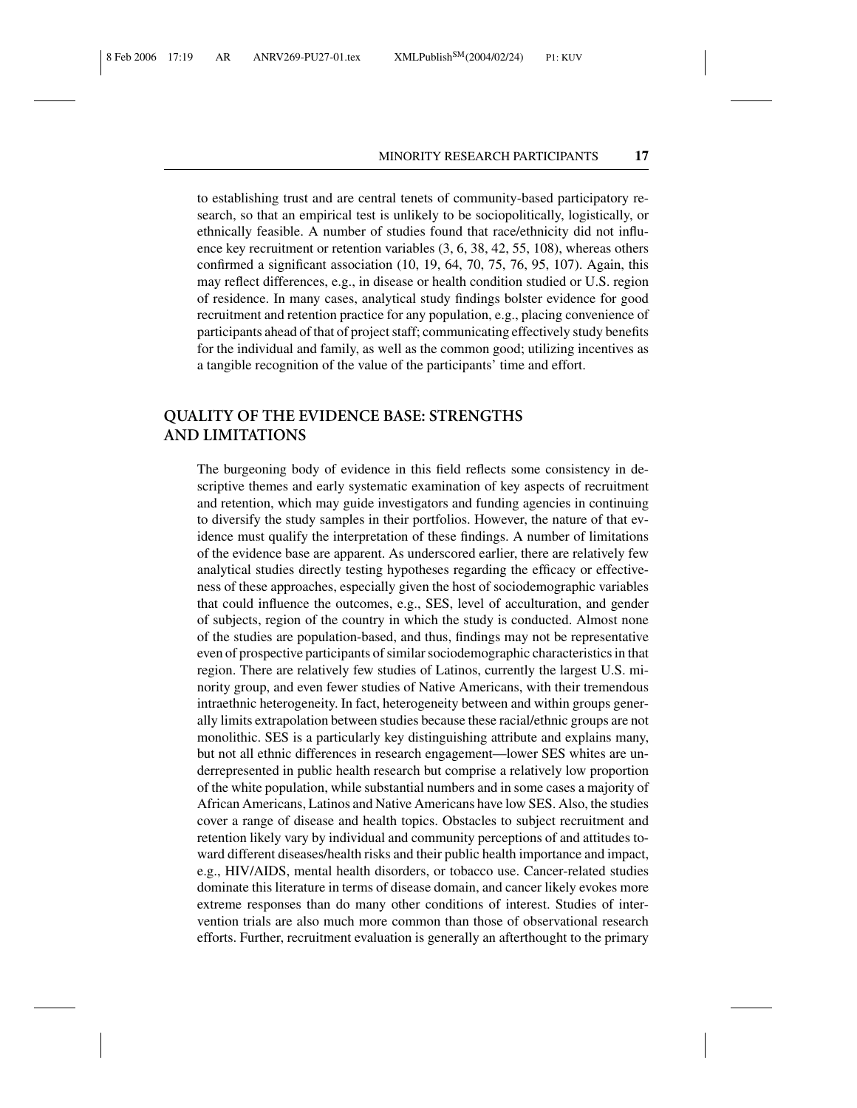to establishing trust and are central tenets of community-based participatory research, so that an empirical test is unlikely to be sociopolitically, logistically, or ethnically feasible. A number of studies found that race/ethnicity did not influence key recruitment or retention variables (3, 6, 38, 42, 55, 108), whereas others confirmed a significant association (10, 19, 64, 70, 75, 76, 95, 107). Again, this may reflect differences, e.g., in disease or health condition studied or U.S. region of residence. In many cases, analytical study findings bolster evidence for good recruitment and retention practice for any population, e.g., placing convenience of participants ahead of that of project staff; communicating effectively study benefits for the individual and family, as well as the common good; utilizing incentives as a tangible recognition of the value of the participants' time and effort.

# **QUALITY OF THE EVIDENCE BASE: STRENGTHS AND LIMITATIONS**

The burgeoning body of evidence in this field reflects some consistency in descriptive themes and early systematic examination of key aspects of recruitment and retention, which may guide investigators and funding agencies in continuing to diversify the study samples in their portfolios. However, the nature of that evidence must qualify the interpretation of these findings. A number of limitations of the evidence base are apparent. As underscored earlier, there are relatively few analytical studies directly testing hypotheses regarding the efficacy or effectiveness of these approaches, especially given the host of sociodemographic variables that could influence the outcomes, e.g., SES, level of acculturation, and gender of subjects, region of the country in which the study is conducted. Almost none of the studies are population-based, and thus, findings may not be representative even of prospective participants of similar sociodemographic characteristics in that region. There are relatively few studies of Latinos, currently the largest U.S. minority group, and even fewer studies of Native Americans, with their tremendous intraethnic heterogeneity. In fact, heterogeneity between and within groups generally limits extrapolation between studies because these racial/ethnic groups are not monolithic. SES is a particularly key distinguishing attribute and explains many, but not all ethnic differences in research engagement—lower SES whites are underrepresented in public health research but comprise a relatively low proportion of the white population, while substantial numbers and in some cases a majority of African Americans, Latinos and Native Americans have low SES. Also, the studies cover a range of disease and health topics. Obstacles to subject recruitment and retention likely vary by individual and community perceptions of and attitudes toward different diseases/health risks and their public health importance and impact, e.g., HIV/AIDS, mental health disorders, or tobacco use. Cancer-related studies dominate this literature in terms of disease domain, and cancer likely evokes more extreme responses than do many other conditions of interest. Studies of intervention trials are also much more common than those of observational research efforts. Further, recruitment evaluation is generally an afterthought to the primary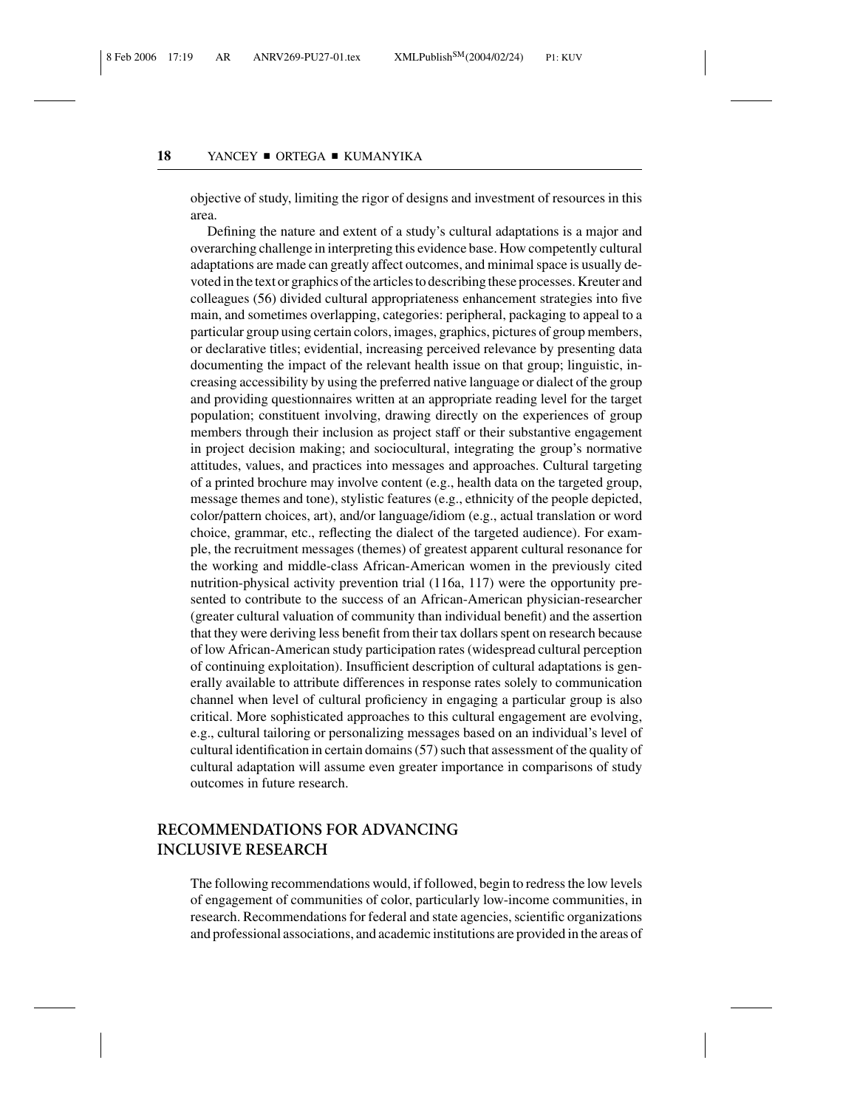objective of study, limiting the rigor of designs and investment of resources in this area.

Defining the nature and extent of a study's cultural adaptations is a major and overarching challenge in interpreting this evidence base. How competently cultural adaptations are made can greatly affect outcomes, and minimal space is usually devoted in the text or graphics of the articles to describing these processes. Kreuter and colleagues (56) divided cultural appropriateness enhancement strategies into five main, and sometimes overlapping, categories: peripheral, packaging to appeal to a particular group using certain colors, images, graphics, pictures of group members, or declarative titles; evidential, increasing perceived relevance by presenting data documenting the impact of the relevant health issue on that group; linguistic, increasing accessibility by using the preferred native language or dialect of the group and providing questionnaires written at an appropriate reading level for the target population; constituent involving, drawing directly on the experiences of group members through their inclusion as project staff or their substantive engagement in project decision making; and sociocultural, integrating the group's normative attitudes, values, and practices into messages and approaches. Cultural targeting of a printed brochure may involve content (e.g., health data on the targeted group, message themes and tone), stylistic features (e.g., ethnicity of the people depicted, color/pattern choices, art), and/or language/idiom (e.g., actual translation or word choice, grammar, etc., reflecting the dialect of the targeted audience). For example, the recruitment messages (themes) of greatest apparent cultural resonance for the working and middle-class African-American women in the previously cited nutrition-physical activity prevention trial (116a, 117) were the opportunity presented to contribute to the success of an African-American physician-researcher (greater cultural valuation of community than individual benefit) and the assertion that they were deriving less benefit from their tax dollars spent on research because of low African-American study participation rates (widespread cultural perception of continuing exploitation). Insufficient description of cultural adaptations is generally available to attribute differences in response rates solely to communication channel when level of cultural proficiency in engaging a particular group is also critical. More sophisticated approaches to this cultural engagement are evolving, e.g., cultural tailoring or personalizing messages based on an individual's level of cultural identification in certain domains (57) such that assessment of the quality of cultural adaptation will assume even greater importance in comparisons of study outcomes in future research.

# **RECOMMENDATIONS FOR ADVANCING INCLUSIVE RESEARCH**

The following recommendations would, if followed, begin to redress the low levels of engagement of communities of color, particularly low-income communities, in research. Recommendations for federal and state agencies, scientific organizations and professional associations, and academic institutions are provided in the areas of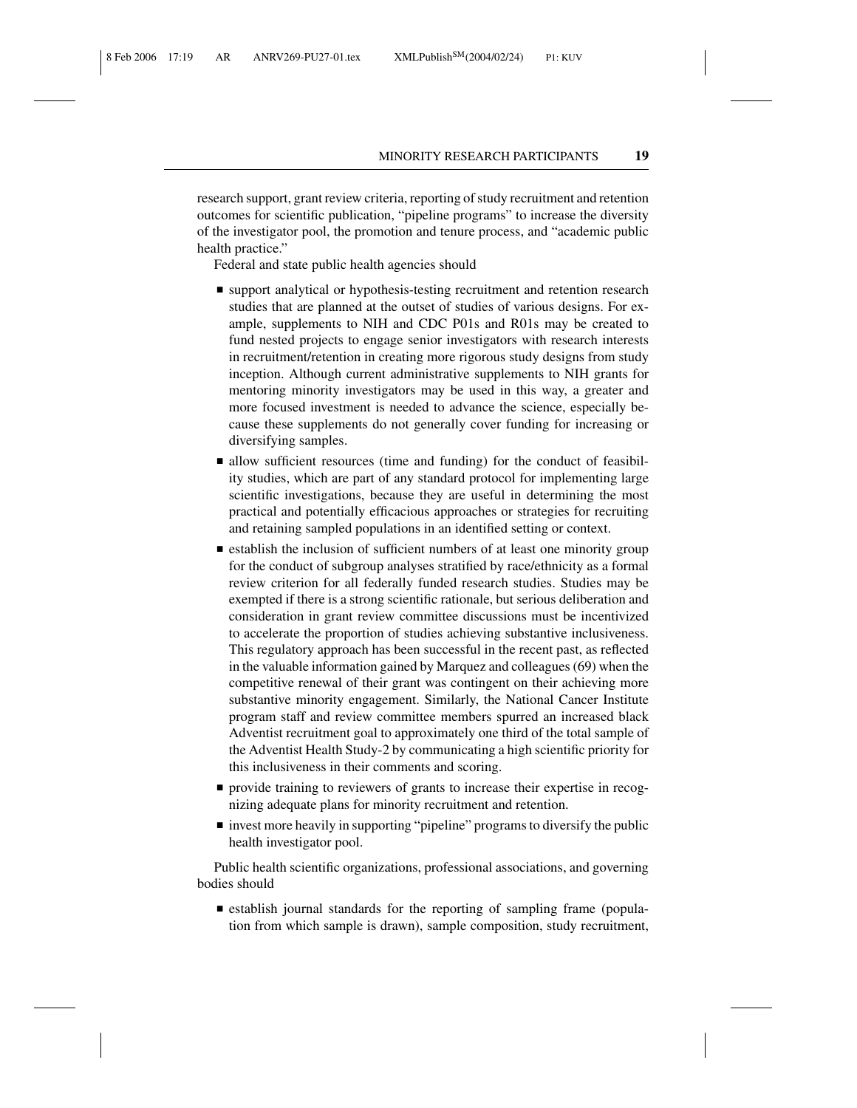research support, grant review criteria, reporting of study recruitment and retention outcomes for scientific publication, "pipeline programs" to increase the diversity of the investigator pool, the promotion and tenure process, and "academic public health practice."

Federal and state public health agencies should

- support analytical or hypothesis-testing recruitment and retention research studies that are planned at the outset of studies of various designs. For example, supplements to NIH and CDC P01s and R01s may be created to fund nested projects to engage senior investigators with research interests in recruitment/retention in creating more rigorous study designs from study inception. Although current administrative supplements to NIH grants for mentoring minority investigators may be used in this way, a greater and more focused investment is needed to advance the science, especially because these supplements do not generally cover funding for increasing or diversifying samples.
- If allow sufficient resources (time and funding) for the conduct of feasibility studies, which are part of any standard protocol for implementing large scientific investigations, because they are useful in determining the most practical and potentially efficacious approaches or strategies for recruiting and retaining sampled populations in an identified setting or context.
- establish the inclusion of sufficient numbers of at least one minority group for the conduct of subgroup analyses stratified by race/ethnicity as a formal review criterion for all federally funded research studies. Studies may be exempted if there is a strong scientific rationale, but serious deliberation and consideration in grant review committee discussions must be incentivized to accelerate the proportion of studies achieving substantive inclusiveness. This regulatory approach has been successful in the recent past, as reflected in the valuable information gained by Marquez and colleagues (69) when the competitive renewal of their grant was contingent on their achieving more substantive minority engagement. Similarly, the National Cancer Institute program staff and review committee members spurred an increased black Adventist recruitment goal to approximately one third of the total sample of the Adventist Health Study-2 by communicating a high scientific priority for this inclusiveness in their comments and scoring.
- provide training to reviewers of grants to increase their expertise in recognizing adequate plans for minority recruitment and retention.
- invest more heavily in supporting "pipeline" programs to diversify the public health investigator pool.

Public health scientific organizations, professional associations, and governing bodies should

- establish journal standards for the reporting of sampling frame (population from which sample is drawn), sample composition, study recruitment,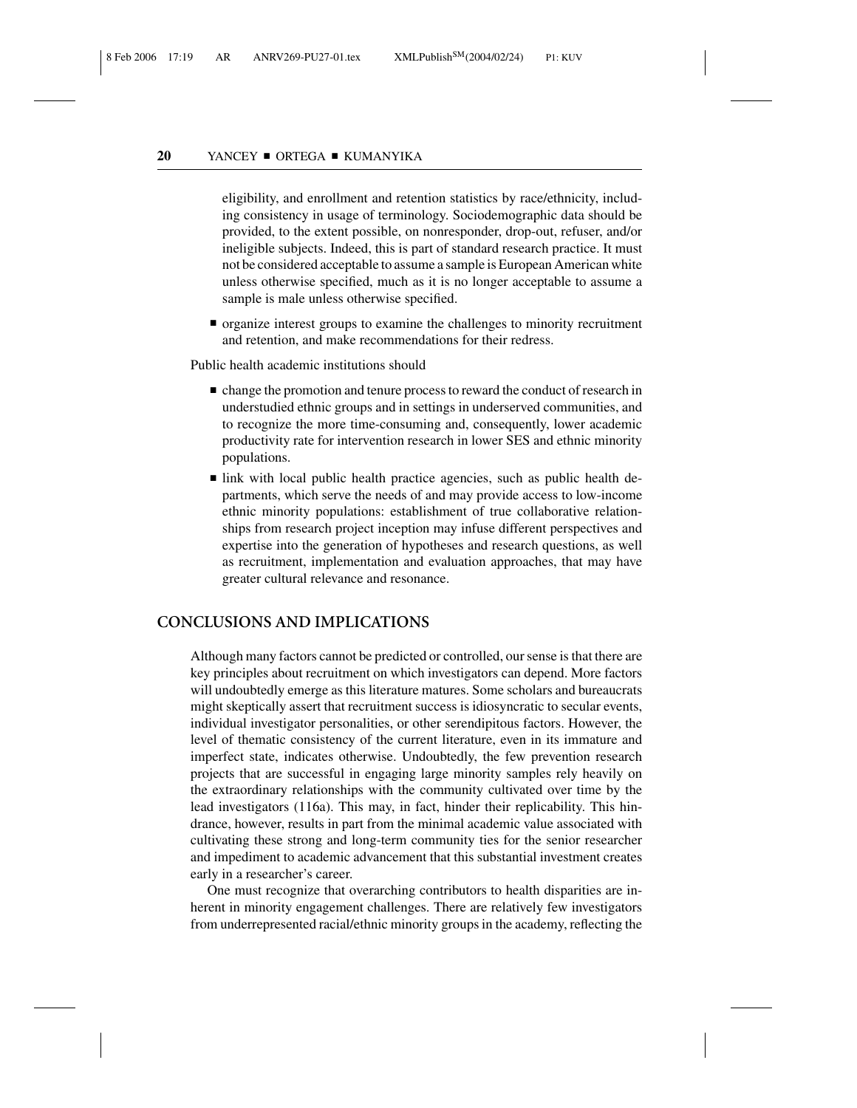eligibility, and enrollment and retention statistics by race/ethnicity, including consistency in usage of terminology. Sociodemographic data should be provided, to the extent possible, on nonresponder, drop-out, refuser, and/or ineligible subjects. Indeed, this is part of standard research practice. It must not be considered acceptable to assume a sample is European American white unless otherwise specified, much as it is no longer acceptable to assume a sample is male unless otherwise specified.

- organize interest groups to examine the challenges to minority recruitment and retention, and make recommendations for their redress.

Public health academic institutions should

- $\blacksquare$  change the promotion and tenure process to reward the conduct of research in understudied ethnic groups and in settings in underserved communities, and to recognize the more time-consuming and, consequently, lower academic productivity rate for intervention research in lower SES and ethnic minority populations.
- Iink with local public health practice agencies, such as public health departments, which serve the needs of and may provide access to low-income ethnic minority populations: establishment of true collaborative relationships from research project inception may infuse different perspectives and expertise into the generation of hypotheses and research questions, as well as recruitment, implementation and evaluation approaches, that may have greater cultural relevance and resonance.

## **CONCLUSIONS AND IMPLICATIONS**

Although many factors cannot be predicted or controlled, our sense is that there are key principles about recruitment on which investigators can depend. More factors will undoubtedly emerge as this literature matures. Some scholars and bureaucrats might skeptically assert that recruitment success is idiosyncratic to secular events, individual investigator personalities, or other serendipitous factors. However, the level of thematic consistency of the current literature, even in its immature and imperfect state, indicates otherwise. Undoubtedly, the few prevention research projects that are successful in engaging large minority samples rely heavily on the extraordinary relationships with the community cultivated over time by the lead investigators (116a). This may, in fact, hinder their replicability. This hindrance, however, results in part from the minimal academic value associated with cultivating these strong and long-term community ties for the senior researcher and impediment to academic advancement that this substantial investment creates early in a researcher's career.

One must recognize that overarching contributors to health disparities are inherent in minority engagement challenges. There are relatively few investigators from underrepresented racial/ethnic minority groups in the academy, reflecting the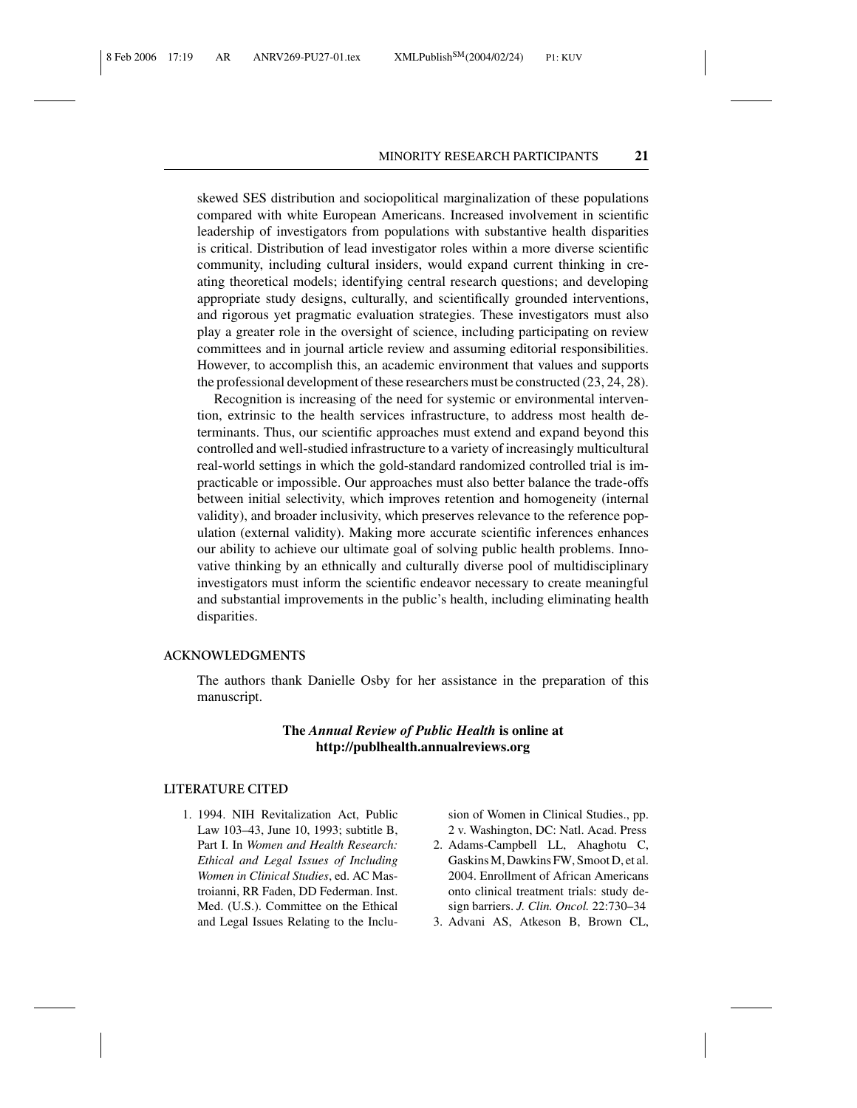skewed SES distribution and sociopolitical marginalization of these populations compared with white European Americans. Increased involvement in scientific leadership of investigators from populations with substantive health disparities is critical. Distribution of lead investigator roles within a more diverse scientific community, including cultural insiders, would expand current thinking in creating theoretical models; identifying central research questions; and developing appropriate study designs, culturally, and scientifically grounded interventions, and rigorous yet pragmatic evaluation strategies. These investigators must also play a greater role in the oversight of science, including participating on review committees and in journal article review and assuming editorial responsibilities. However, to accomplish this, an academic environment that values and supports the professional development of these researchers must be constructed (23, 24, 28).

Recognition is increasing of the need for systemic or environmental intervention, extrinsic to the health services infrastructure, to address most health determinants. Thus, our scientific approaches must extend and expand beyond this controlled and well-studied infrastructure to a variety of increasingly multicultural real-world settings in which the gold-standard randomized controlled trial is impracticable or impossible. Our approaches must also better balance the trade-offs between initial selectivity, which improves retention and homogeneity (internal validity), and broader inclusivity, which preserves relevance to the reference population (external validity). Making more accurate scientific inferences enhances our ability to achieve our ultimate goal of solving public health problems. Innovative thinking by an ethnically and culturally diverse pool of multidisciplinary investigators must inform the scientific endeavor necessary to create meaningful and substantial improvements in the public's health, including eliminating health disparities.

#### **ACKNOWLEDGMENTS**

The authors thank Danielle Osby for her assistance in the preparation of this manuscript.

#### **The** *Annual Review of Public Health* **is online at http://publhealth.annualreviews.org**

#### **LITERATURE CITED**

1. 1994. NIH Revitalization Act, Public Law 103–43, June 10, 1993; subtitle B, Part I. In *Women and Health Research: Ethical and Legal Issues of Including Women in Clinical Studies*, ed. AC Mastroianni, RR Faden, DD Federman. Inst. Med. (U.S.). Committee on the Ethical and Legal Issues Relating to the Inclusion of Women in Clinical Studies., pp. 2 v. Washington, DC: Natl. Acad. Press

- 2. Adams-Campbell LL, Ahaghotu C, Gaskins M, Dawkins FW, Smoot D, et al. 2004. Enrollment of African Americans onto clinical treatment trials: study design barriers. *J. Clin. Oncol.* 22:730–34
- 3. Advani AS, Atkeson B, Brown CL,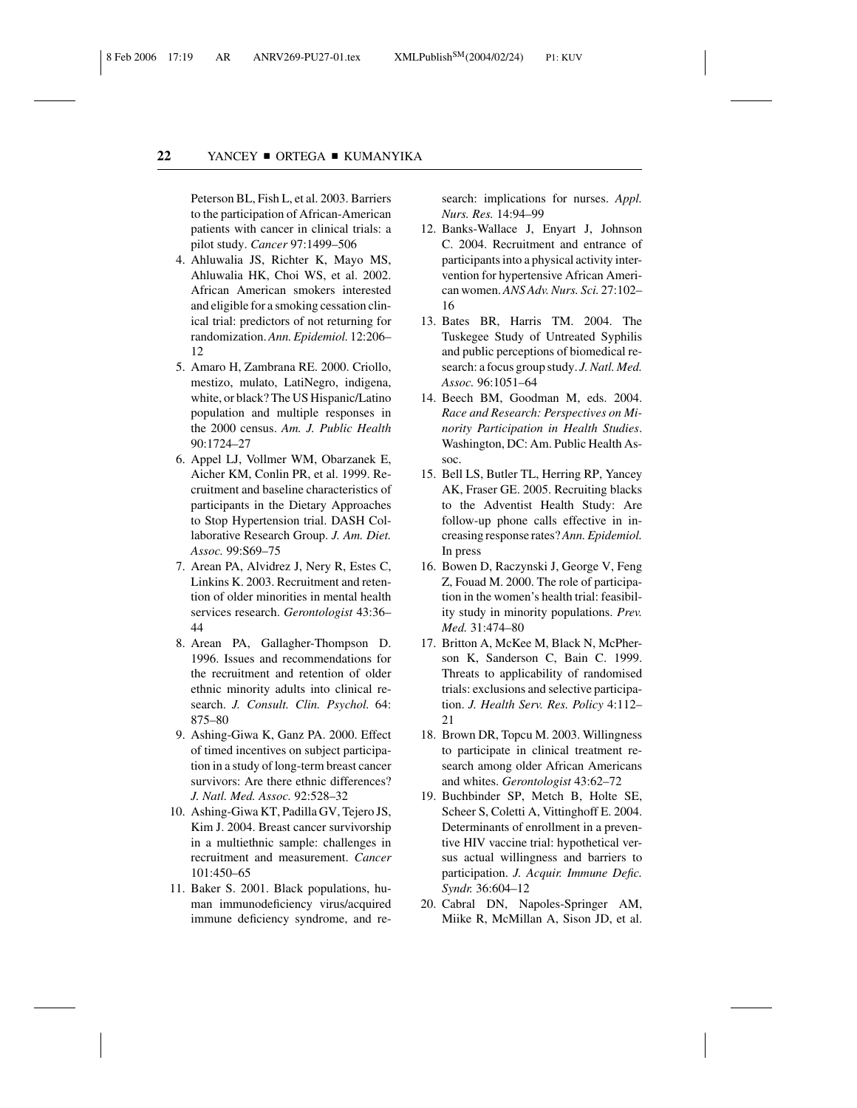Peterson BL, Fish L, et al. 2003. Barriers to the participation of African-American patients with cancer in clinical trials: a pilot study. *Cancer* 97:1499–506

- 4. Ahluwalia JS, Richter K, Mayo MS, Ahluwalia HK, Choi WS, et al. 2002. African American smokers interested and eligible for a smoking cessation clinical trial: predictors of not returning for randomization.*Ann. Epidemiol.* 12:206– 12
- 5. Amaro H, Zambrana RE. 2000. Criollo, mestizo, mulato, LatiNegro, indigena, white, or black? The US Hispanic/Latino population and multiple responses in the 2000 census. *Am. J. Public Health* 90:1724–27
- 6. Appel LJ, Vollmer WM, Obarzanek E, Aicher KM, Conlin PR, et al. 1999. Recruitment and baseline characteristics of participants in the Dietary Approaches to Stop Hypertension trial. DASH Collaborative Research Group. *J. Am. Diet. Assoc.* 99:S69–75
- 7. Arean PA, Alvidrez J, Nery R, Estes C, Linkins K. 2003. Recruitment and retention of older minorities in mental health services research. *Gerontologist* 43:36– 44
- 8. Arean PA, Gallagher-Thompson D. 1996. Issues and recommendations for the recruitment and retention of older ethnic minority adults into clinical research. *J. Consult. Clin. Psychol.* 64: 875–80
- 9. Ashing-Giwa K, Ganz PA. 2000. Effect of timed incentives on subject participation in a study of long-term breast cancer survivors: Are there ethnic differences? *J. Natl. Med. Assoc.* 92:528–32
- 10. Ashing-Giwa KT, Padilla GV, Tejero JS, Kim J. 2004. Breast cancer survivorship in a multiethnic sample: challenges in recruitment and measurement. *Cancer* 101:450–65
- 11. Baker S. 2001. Black populations, human immunodeficiency virus/acquired immune deficiency syndrome, and re-

search: implications for nurses. *Appl. Nurs. Res.* 14:94–99

- 12. Banks-Wallace J, Enyart J, Johnson C. 2004. Recruitment and entrance of participants into a physical activity intervention for hypertensive African American women. *ANS Adv. Nurs. Sci.* 27:102– 16
- 13. Bates BR, Harris TM. 2004. The Tuskegee Study of Untreated Syphilis and public perceptions of biomedical research: a focus group study. *J. Natl. Med. Assoc.* 96:1051–64
- 14. Beech BM, Goodman M, eds. 2004. *Race and Research: Perspectives on Minority Participation in Health Studies*. Washington, DC: Am. Public Health Assoc.
- 15. Bell LS, Butler TL, Herring RP, Yancey AK, Fraser GE. 2005. Recruiting blacks to the Adventist Health Study: Are follow-up phone calls effective in increasing response rates?*Ann. Epidemiol.* In press
- 16. Bowen D, Raczynski J, George V, Feng Z, Fouad M. 2000. The role of participation in the women's health trial: feasibility study in minority populations. *Prev. Med.* 31:474–80
- 17. Britton A, McKee M, Black N, McPherson K, Sanderson C, Bain C. 1999. Threats to applicability of randomised trials: exclusions and selective participation. *J. Health Serv. Res. Policy* 4:112– 21
- 18. Brown DR, Topcu M. 2003. Willingness to participate in clinical treatment research among older African Americans and whites. *Gerontologist* 43:62–72
- 19. Buchbinder SP, Metch B, Holte SE, Scheer S, Coletti A, Vittinghoff E. 2004. Determinants of enrollment in a preventive HIV vaccine trial: hypothetical versus actual willingness and barriers to participation. *J. Acquir. Immune Defic. Syndr.* 36:604–12
- 20. Cabral DN, Napoles-Springer AM, Miike R, McMillan A, Sison JD, et al.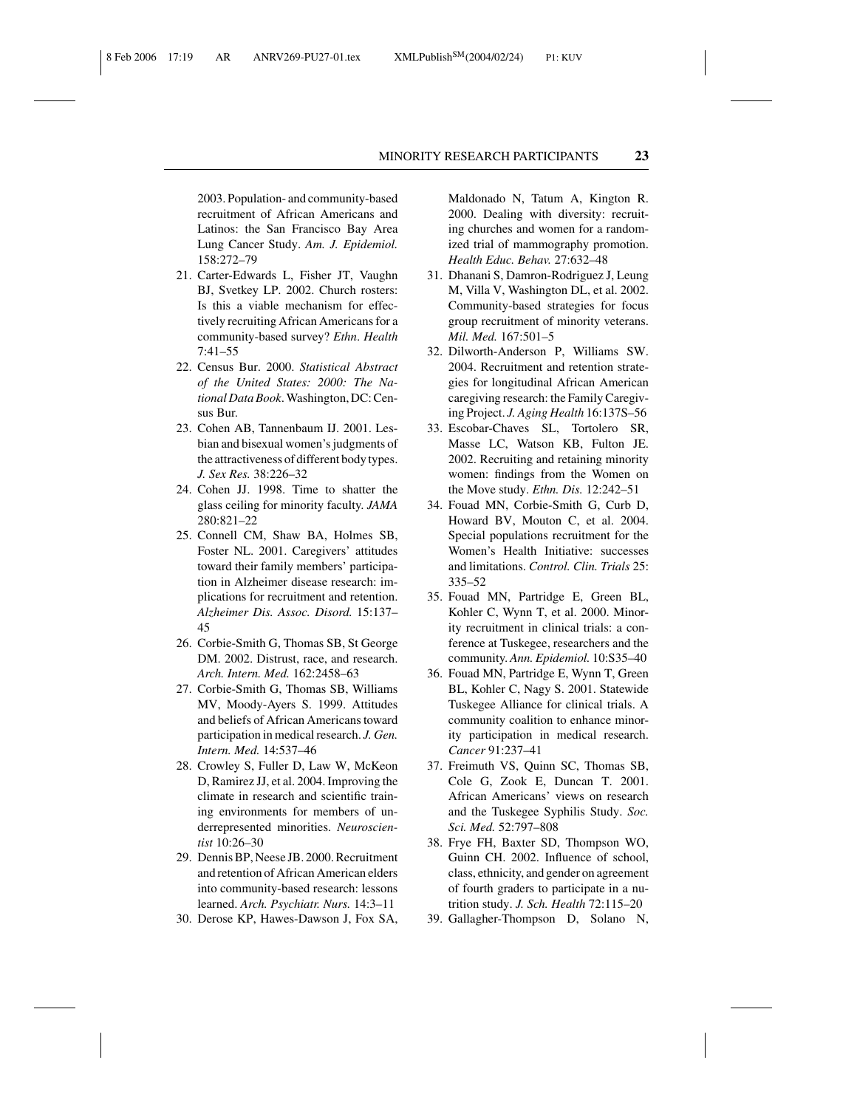2003. Population- and community-based recruitment of African Americans and Latinos: the San Francisco Bay Area Lung Cancer Study. *Am. J. Epidemiol.* 158:272–79

- 21. Carter-Edwards L, Fisher JT, Vaughn BJ, Svetkey LP. 2002. Church rosters: Is this a viable mechanism for effectively recruiting African Americans for a community-based survey? *Ethn*. *Health* 7:41–55
- 22. Census Bur. 2000. *Statistical Abstract of the United States: 2000: The National Data Book*. Washington, DC: Census Bur.
- 23. Cohen AB, Tannenbaum IJ. 2001. Lesbian and bisexual women's judgments of the attractiveness of different body types. *J. Sex Res.* 38:226–32
- 24. Cohen JJ. 1998. Time to shatter the glass ceiling for minority faculty. *JAMA* 280:821–22
- 25. Connell CM, Shaw BA, Holmes SB, Foster NL. 2001. Caregivers' attitudes toward their family members' participation in Alzheimer disease research: implications for recruitment and retention. *Alzheimer Dis. Assoc. Disord.* 15:137– 45
- 26. Corbie-Smith G, Thomas SB, St George DM. 2002. Distrust, race, and research. *Arch. Intern. Med.* 162:2458–63
- 27. Corbie-Smith G, Thomas SB, Williams MV, Moody-Ayers S. 1999. Attitudes and beliefs of African Americans toward participation in medical research. *J. Gen. Intern. Med.* 14:537–46
- 28. Crowley S, Fuller D, Law W, McKeon D, Ramirez JJ, et al. 2004. Improving the climate in research and scientific training environments for members of underrepresented minorities. *Neuroscientist* 10:26–30
- 29. Dennis BP, Neese JB. 2000. Recruitment and retention of African American elders into community-based research: lessons learned. *Arch. Psychiatr. Nurs.* 14:3–11
- 30. Derose KP, Hawes-Dawson J, Fox SA,

Maldonado N, Tatum A, Kington R. 2000. Dealing with diversity: recruiting churches and women for a randomized trial of mammography promotion. *Health Educ. Behav.* 27:632–48

- 31. Dhanani S, Damron-Rodriguez J, Leung M, Villa V, Washington DL, et al. 2002. Community-based strategies for focus group recruitment of minority veterans. *Mil. Med.* 167:501–5
- 32. Dilworth-Anderson P, Williams SW. 2004. Recruitment and retention strategies for longitudinal African American caregiving research: the Family Caregiving Project. *J. Aging Health* 16:137S–56
- 33. Escobar-Chaves SL, Tortolero SR, Masse LC, Watson KB, Fulton JE. 2002. Recruiting and retaining minority women: findings from the Women on the Move study. *Ethn. Dis.* 12:242–51
- 34. Fouad MN, Corbie-Smith G, Curb D, Howard BV, Mouton C, et al. 2004. Special populations recruitment for the Women's Health Initiative: successes and limitations. *Control. Clin. Trials* 25: 335–52
- 35. Fouad MN, Partridge E, Green BL, Kohler C, Wynn T, et al. 2000. Minority recruitment in clinical trials: a conference at Tuskegee, researchers and the community. *Ann. Epidemiol.* 10:S35–40
- 36. Fouad MN, Partridge E, Wynn T, Green BL, Kohler C, Nagy S. 2001. Statewide Tuskegee Alliance for clinical trials. A community coalition to enhance minority participation in medical research. *Cancer* 91:237–41
- 37. Freimuth VS, Quinn SC, Thomas SB, Cole G, Zook E, Duncan T. 2001. African Americans' views on research and the Tuskegee Syphilis Study. *Soc. Sci. Med.* 52:797–808
- 38. Frye FH, Baxter SD, Thompson WO, Guinn CH. 2002. Influence of school, class, ethnicity, and gender on agreement of fourth graders to participate in a nutrition study. *J. Sch. Health* 72:115–20
- 39. Gallagher-Thompson D, Solano N,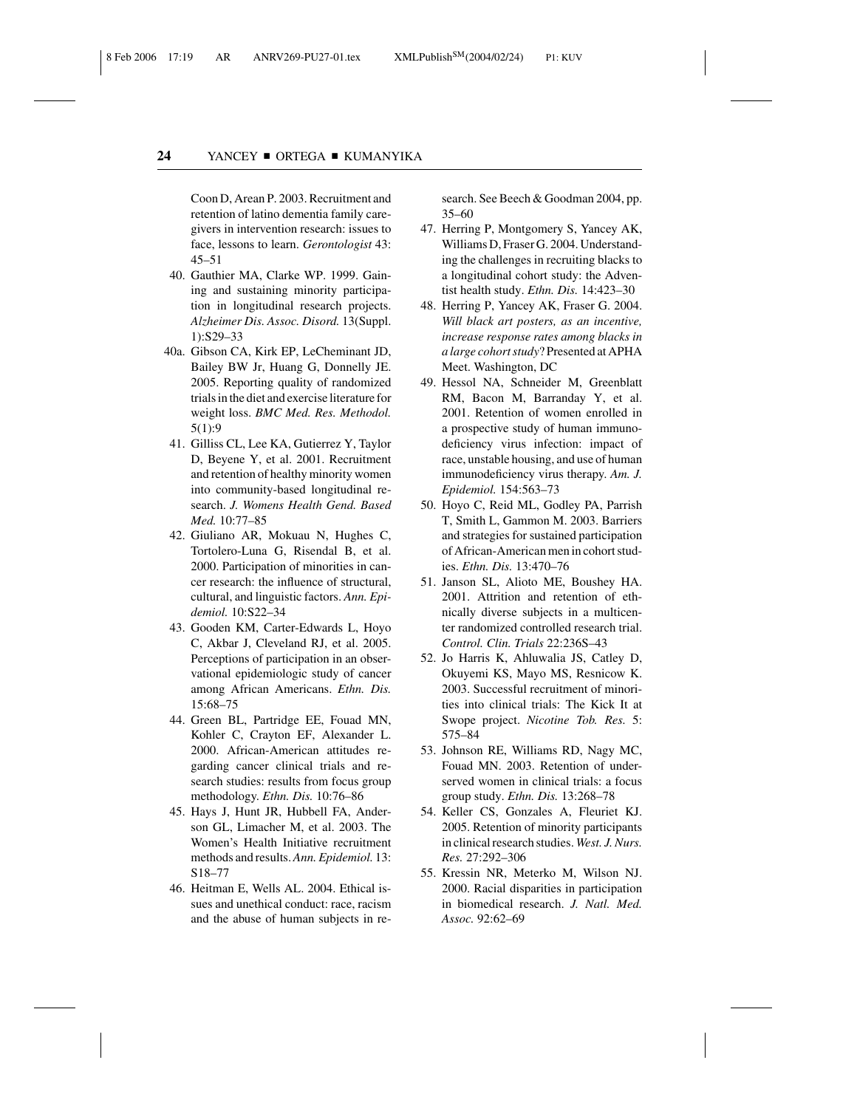Coon D, Arean P. 2003. Recruitment and retention of latino dementia family caregivers in intervention research: issues to face, lessons to learn. *Gerontologist* 43: 45–51

- 40. Gauthier MA, Clarke WP. 1999. Gaining and sustaining minority participation in longitudinal research projects. *Alzheimer Dis. Assoc. Disord.* 13(Suppl. 1):S29–33
- 40a. Gibson CA, Kirk EP, LeCheminant JD, Bailey BW Jr, Huang G, Donnelly JE. 2005. Reporting quality of randomized trials in the diet and exercise literature for weight loss. *BMC Med. Res. Methodol.* 5(1):9
- 41. Gilliss CL, Lee KA, Gutierrez Y, Taylor D, Beyene Y, et al. 2001. Recruitment and retention of healthy minority women into community-based longitudinal research. *J. Womens Health Gend. Based Med.* 10:77–85
- 42. Giuliano AR, Mokuau N, Hughes C, Tortolero-Luna G, Risendal B, et al. 2000. Participation of minorities in cancer research: the influence of structural, cultural, and linguistic factors. *Ann. Epidemiol.* 10:S22–34
- 43. Gooden KM, Carter-Edwards L, Hoyo C, Akbar J, Cleveland RJ, et al. 2005. Perceptions of participation in an observational epidemiologic study of cancer among African Americans. *Ethn. Dis.* 15:68–75
- 44. Green BL, Partridge EE, Fouad MN, Kohler C, Crayton EF, Alexander L. 2000. African-American attitudes regarding cancer clinical trials and research studies: results from focus group methodology. *Ethn. Dis.* 10:76–86
- 45. Hays J, Hunt JR, Hubbell FA, Anderson GL, Limacher M, et al. 2003. The Women's Health Initiative recruitment methods and results. *Ann. Epidemiol.* 13: S18–77
- 46. Heitman E, Wells AL. 2004. Ethical issues and unethical conduct: race, racism and the abuse of human subjects in re-

search. See Beech & Goodman 2004, pp. 35–60

- 47. Herring P, Montgomery S, Yancey AK, Williams D, Fraser G. 2004. Understanding the challenges in recruiting blacks to a longitudinal cohort study: the Adventist health study. *Ethn. Dis.* 14:423–30
- 48. Herring P, Yancey AK, Fraser G. 2004. *Will black art posters, as an incentive, increase response rates among blacks in a large cohort study*? Presented at APHA Meet. Washington, DC
- 49. Hessol NA, Schneider M, Greenblatt RM, Bacon M, Barranday Y, et al. 2001. Retention of women enrolled in a prospective study of human immunodeficiency virus infection: impact of race, unstable housing, and use of human immunodeficiency virus therapy. *Am. J. Epidemiol.* 154:563–73
- 50. Hoyo C, Reid ML, Godley PA, Parrish T, Smith L, Gammon M. 2003. Barriers and strategies for sustained participation of African-American men in cohort studies. *Ethn. Dis.* 13:470–76
- 51. Janson SL, Alioto ME, Boushey HA. 2001. Attrition and retention of ethnically diverse subjects in a multicenter randomized controlled research trial. *Control. Clin. Trials* 22:236S–43
- 52. Jo Harris K, Ahluwalia JS, Catley D, Okuyemi KS, Mayo MS, Resnicow K. 2003. Successful recruitment of minorities into clinical trials: The Kick It at Swope project. *Nicotine Tob. Res.* 5: 575–84
- 53. Johnson RE, Williams RD, Nagy MC, Fouad MN. 2003. Retention of underserved women in clinical trials: a focus group study. *Ethn. Dis.* 13:268–78
- 54. Keller CS, Gonzales A, Fleuriet KJ. 2005. Retention of minority participants in clinical research studies. *West. J. Nurs. Res.* 27:292–306
- 55. Kressin NR, Meterko M, Wilson NJ. 2000. Racial disparities in participation in biomedical research. *J. Natl. Med. Assoc.* 92:62–69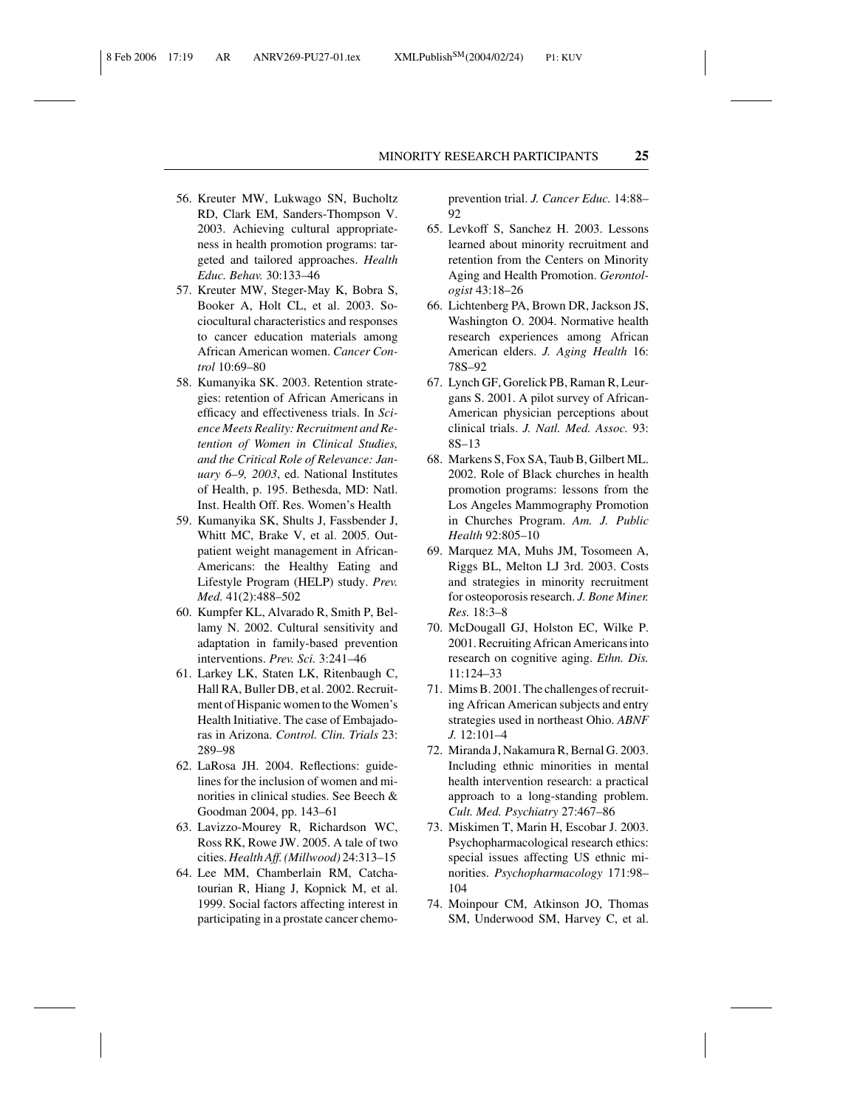- 56. Kreuter MW, Lukwago SN, Bucholtz RD, Clark EM, Sanders-Thompson V. 2003. Achieving cultural appropriateness in health promotion programs: targeted and tailored approaches. *Health Educ. Behav.* 30:133–46
- 57. Kreuter MW, Steger-May K, Bobra S, Booker A, Holt CL, et al. 2003. Sociocultural characteristics and responses to cancer education materials among African American women. *Cancer Control* 10:69–80
- 58. Kumanyika SK. 2003. Retention strategies: retention of African Americans in efficacy and effectiveness trials. In *Science Meets Reality: Recruitment and Retention of Women in Clinical Studies, and the Critical Role of Relevance: January 6–9, 2003*, ed. National Institutes of Health, p. 195. Bethesda, MD: Natl. Inst. Health Off. Res. Women's Health
- 59. Kumanyika SK, Shults J, Fassbender J, Whitt MC, Brake V, et al. 2005. Outpatient weight management in African-Americans: the Healthy Eating and Lifestyle Program (HELP) study. *Prev. Med.* 41(2):488–502
- 60. Kumpfer KL, Alvarado R, Smith P, Bellamy N. 2002. Cultural sensitivity and adaptation in family-based prevention interventions. *Prev. Sci.* 3:241–46
- 61. Larkey LK, Staten LK, Ritenbaugh C, Hall RA, Buller DB, et al. 2002. Recruitment of Hispanic women to the Women's Health Initiative. The case of Embajadoras in Arizona. *Control. Clin. Trials* 23: 289–98
- 62. LaRosa JH. 2004. Reflections: guidelines for the inclusion of women and minorities in clinical studies. See Beech & Goodman 2004, pp. 143–61
- 63. Lavizzo-Mourey R, Richardson WC, Ross RK, Rowe JW. 2005. A tale of two cities.*Health Aff. (Millwood)* 24:313–15
- 64. Lee MM, Chamberlain RM, Catchatourian R, Hiang J, Kopnick M, et al. 1999. Social factors affecting interest in participating in a prostate cancer chemo-

prevention trial. *J. Cancer Educ.* 14:88– 92

- 65. Levkoff S, Sanchez H. 2003. Lessons learned about minority recruitment and retention from the Centers on Minority Aging and Health Promotion. *Gerontologist* 43:18–26
- 66. Lichtenberg PA, Brown DR, Jackson JS, Washington O. 2004. Normative health research experiences among African American elders. *J. Aging Health* 16: 78S–92
- 67. Lynch GF, Gorelick PB, Raman R, Leurgans S. 2001. A pilot survey of African-American physician perceptions about clinical trials. *J. Natl. Med. Assoc.* 93: 8S–13
- 68. Markens S, Fox SA, Taub B, Gilbert ML. 2002. Role of Black churches in health promotion programs: lessons from the Los Angeles Mammography Promotion in Churches Program. *Am. J. Public Health* 92:805–10
- 69. Marquez MA, Muhs JM, Tosomeen A, Riggs BL, Melton LJ 3rd. 2003. Costs and strategies in minority recruitment for osteoporosis research. *J. Bone Miner. Res.* 18:3–8
- 70. McDougall GJ, Holston EC, Wilke P. 2001. Recruiting African Americans into research on cognitive aging. *Ethn. Dis.* 11:124–33
- 71. Mims B. 2001. The challenges of recruiting African American subjects and entry strategies used in northeast Ohio. *ABNF J.* 12:101–4
- 72. Miranda J, Nakamura R, Bernal G. 2003. Including ethnic minorities in mental health intervention research: a practical approach to a long-standing problem. *Cult. Med. Psychiatry* 27:467–86
- 73. Miskimen T, Marin H, Escobar J. 2003. Psychopharmacological research ethics: special issues affecting US ethnic minorities. *Psychopharmacology* 171:98– 104
- 74. Moinpour CM, Atkinson JO, Thomas SM, Underwood SM, Harvey C, et al.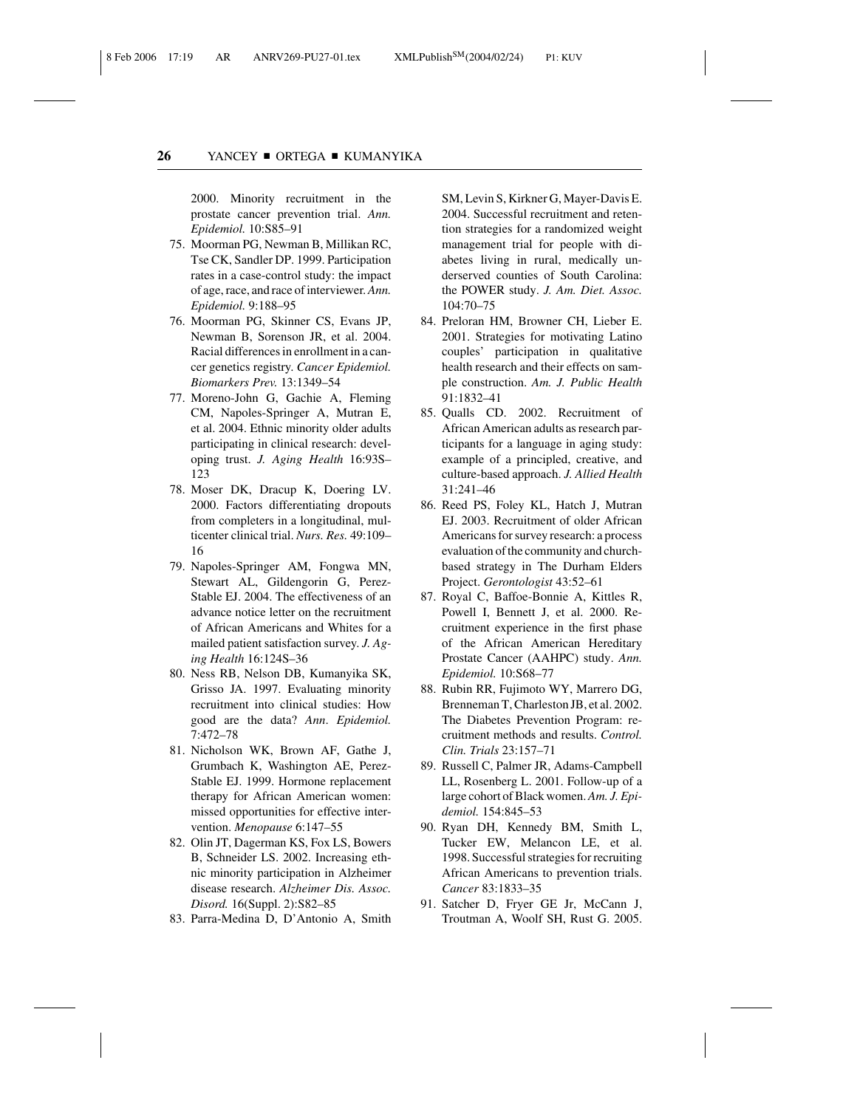2000. Minority recruitment in the prostate cancer prevention trial. *Ann. Epidemiol.* 10:S85–91

- 75. Moorman PG, Newman B, Millikan RC, Tse CK, Sandler DP. 1999. Participation rates in a case-control study: the impact of age, race, and race of interviewer. *Ann. Epidemiol.* 9:188–95
- 76. Moorman PG, Skinner CS, Evans JP, Newman B, Sorenson JR, et al. 2004. Racial differences in enrollment in a cancer genetics registry. *Cancer Epidemiol. Biomarkers Prev.* 13:1349–54
- 77. Moreno-John G, Gachie A, Fleming CM, Napoles-Springer A, Mutran E, et al. 2004. Ethnic minority older adults participating in clinical research: developing trust. *J. Aging Health* 16:93S– 123
- 78. Moser DK, Dracup K, Doering LV. 2000. Factors differentiating dropouts from completers in a longitudinal, multicenter clinical trial. *Nurs. Res.* 49:109– 16
- 79. Napoles-Springer AM, Fongwa MN, Stewart AL, Gildengorin G, Perez-Stable EJ. 2004. The effectiveness of an advance notice letter on the recruitment of African Americans and Whites for a mailed patient satisfaction survey. *J. Aging Health* 16:124S–36
- 80. Ness RB, Nelson DB, Kumanyika SK, Grisso JA. 1997. Evaluating minority recruitment into clinical studies: How good are the data? *Ann*. *Epidemiol.* 7:472–78
- 81. Nicholson WK, Brown AF, Gathe J, Grumbach K, Washington AE, Perez-Stable EJ. 1999. Hormone replacement therapy for African American women: missed opportunities for effective intervention. *Menopause* 6:147–55
- 82. Olin JT, Dagerman KS, Fox LS, Bowers B, Schneider LS. 2002. Increasing ethnic minority participation in Alzheimer disease research. *Alzheimer Dis. Assoc. Disord.* 16(Suppl. 2):S82–85
- 83. Parra-Medina D, D'Antonio A, Smith

SM, Levin S, Kirkner G, Mayer-Davis E. 2004. Successful recruitment and retention strategies for a randomized weight management trial for people with diabetes living in rural, medically underserved counties of South Carolina: the POWER study. *J. Am. Diet. Assoc.* 104:70–75

- 84. Preloran HM, Browner CH, Lieber E. 2001. Strategies for motivating Latino couples' participation in qualitative health research and their effects on sample construction. *Am. J. Public Health* 91:1832–41
- 85. Qualls CD. 2002. Recruitment of African American adults as research participants for a language in aging study: example of a principled, creative, and culture-based approach. *J. Allied Health* 31:241–46
- 86. Reed PS, Foley KL, Hatch J, Mutran EJ. 2003. Recruitment of older African Americans for survey research: a process evaluation of the community and churchbased strategy in The Durham Elders Project. *Gerontologist* 43:52–61
- 87. Royal C, Baffoe-Bonnie A, Kittles R, Powell I, Bennett J, et al. 2000. Recruitment experience in the first phase of the African American Hereditary Prostate Cancer (AAHPC) study. *Ann. Epidemiol.* 10:S68–77
- 88. Rubin RR, Fujimoto WY, Marrero DG, Brenneman T, Charleston JB, et al. 2002. The Diabetes Prevention Program: recruitment methods and results. *Control. Clin. Trials* 23:157–71
- 89. Russell C, Palmer JR, Adams-Campbell LL, Rosenberg L. 2001. Follow-up of a large cohort of Black women. *Am. J. Epidemiol.* 154:845–53
- 90. Ryan DH, Kennedy BM, Smith L, Tucker EW, Melancon LE, et al. 1998. Successful strategies for recruiting African Americans to prevention trials. *Cancer* 83:1833–35
- 91. Satcher D, Fryer GE Jr, McCann J, Troutman A, Woolf SH, Rust G. 2005.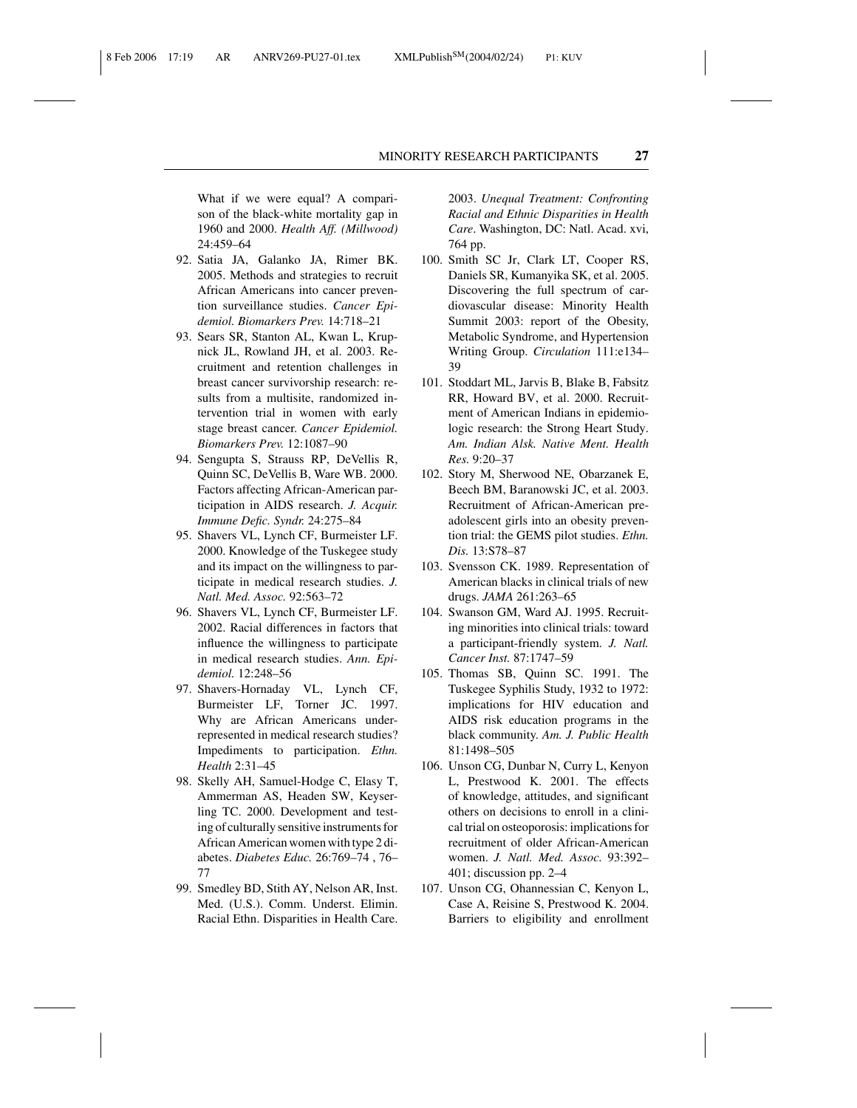What if we were equal? A comparison of the black-white mortality gap in 1960 and 2000. *Health Aff. (Millwood)* 24:459–64

- 92. Satia JA, Galanko JA, Rimer BK. 2005. Methods and strategies to recruit African Americans into cancer prevention surveillance studies. *Cancer Epidemiol. Biomarkers Prev.* 14:718–21
- 93. Sears SR, Stanton AL, Kwan L, Krupnick JL, Rowland JH, et al. 2003. Recruitment and retention challenges in breast cancer survivorship research: results from a multisite, randomized intervention trial in women with early stage breast cancer. *Cancer Epidemiol. Biomarkers Prev.* 12:1087–90
- 94. Sengupta S, Strauss RP, DeVellis R, Quinn SC, DeVellis B, Ware WB. 2000. Factors affecting African-American participation in AIDS research. *J. Acquir. Immune Defic. Syndr.* 24:275–84
- 95. Shavers VL, Lynch CF, Burmeister LF. 2000. Knowledge of the Tuskegee study and its impact on the willingness to participate in medical research studies. *J. Natl. Med. Assoc.* 92:563–72
- 96. Shavers VL, Lynch CF, Burmeister LF. 2002. Racial differences in factors that influence the willingness to participate in medical research studies. *Ann. Epidemiol.* 12:248–56
- 97. Shavers-Hornaday VL, Lynch CF, Burmeister LF, Torner JC. 1997. Why are African Americans underrepresented in medical research studies? Impediments to participation. *Ethn. Health* 2:31–45
- 98. Skelly AH, Samuel-Hodge C, Elasy T, Ammerman AS, Headen SW, Keyserling TC. 2000. Development and testing of culturally sensitive instruments for African American women with type 2 diabetes. *Diabetes Educ.* 26:769–74 , 76– 77
- 99. Smedley BD, Stith AY, Nelson AR, Inst. Med. (U.S.). Comm. Underst. Elimin. Racial Ethn. Disparities in Health Care.

2003. *Unequal Treatment: Confronting Racial and Ethnic Disparities in Health Care*. Washington, DC: Natl. Acad. xvi, 764 pp.

- 100. Smith SC Jr, Clark LT, Cooper RS, Daniels SR, Kumanyika SK, et al. 2005. Discovering the full spectrum of cardiovascular disease: Minority Health Summit 2003: report of the Obesity, Metabolic Syndrome, and Hypertension Writing Group. *Circulation* 111:e134– 39
- 101. Stoddart ML, Jarvis B, Blake B, Fabsitz RR, Howard BV, et al. 2000. Recruitment of American Indians in epidemiologic research: the Strong Heart Study. *Am. Indian Alsk. Native Ment. Health Res.* 9:20–37
- 102. Story M, Sherwood NE, Obarzanek E, Beech BM, Baranowski JC, et al. 2003. Recruitment of African-American preadolescent girls into an obesity prevention trial: the GEMS pilot studies. *Ethn. Dis.* 13:S78–87
- 103. Svensson CK. 1989. Representation of American blacks in clinical trials of new drugs. *JAMA* 261:263–65
- 104. Swanson GM, Ward AJ. 1995. Recruiting minorities into clinical trials: toward a participant-friendly system. *J. Natl. Cancer Inst.* 87:1747–59
- 105. Thomas SB, Quinn SC. 1991. The Tuskegee Syphilis Study, 1932 to 1972: implications for HIV education and AIDS risk education programs in the black community. *Am. J. Public Health* 81:1498–505
- 106. Unson CG, Dunbar N, Curry L, Kenyon L, Prestwood K. 2001. The effects of knowledge, attitudes, and significant others on decisions to enroll in a clinical trial on osteoporosis: implications for recruitment of older African-American women. *J. Natl. Med. Assoc.* 93:392– 401; discussion pp. 2–4
- 107. Unson CG, Ohannessian C, Kenyon L, Case A, Reisine S, Prestwood K. 2004. Barriers to eligibility and enrollment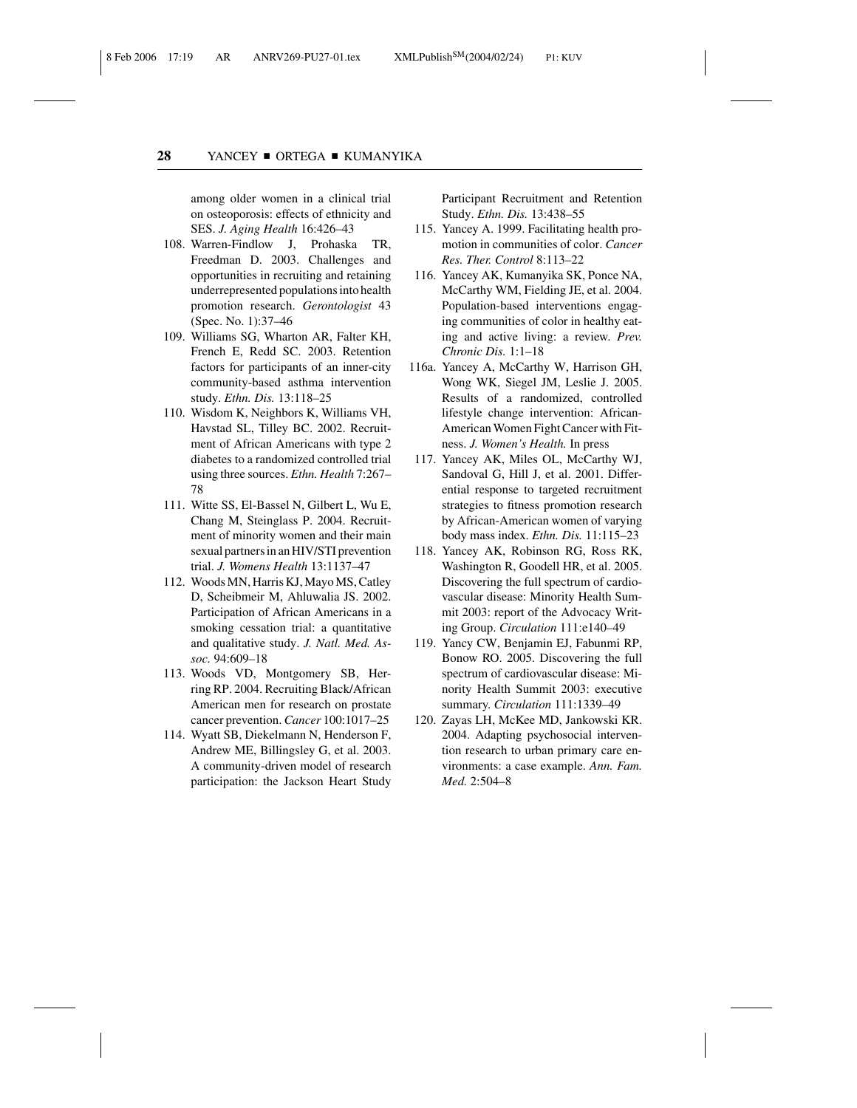among older women in a clinical trial on osteoporosis: effects of ethnicity and SES. *J. Aging Health* 16:426–43

- 108. Warren-Findlow J, Prohaska TR, Freedman D. 2003. Challenges and opportunities in recruiting and retaining underrepresented populations into health promotion research. *Gerontologist* 43 (Spec. No. 1):37–46
- 109. Williams SG, Wharton AR, Falter KH, French E, Redd SC. 2003. Retention factors for participants of an inner-city community-based asthma intervention study. *Ethn. Dis.* 13:118–25
- 110. Wisdom K, Neighbors K, Williams VH, Havstad SL, Tilley BC. 2002. Recruitment of African Americans with type 2 diabetes to a randomized controlled trial using three sources. *Ethn. Health* 7:267– 78
- 111. Witte SS, El-Bassel N, Gilbert L, Wu E, Chang M, Steinglass P. 2004. Recruitment of minority women and their main sexual partners in an HIV/STI prevention trial. *J. Womens Health* 13:1137–47
- 112. Woods MN, Harris KJ, Mayo MS, Catley D, Scheibmeir M, Ahluwalia JS. 2002. Participation of African Americans in a smoking cessation trial: a quantitative and qualitative study. *J. Natl. Med. Assoc.* 94:609–18
- 113. Woods VD, Montgomery SB, Herring RP. 2004. Recruiting Black/African American men for research on prostate cancer prevention.*Cancer* 100:1017–25
- 114. Wyatt SB, Diekelmann N, Henderson F, Andrew ME, Billingsley G, et al. 2003. A community-driven model of research participation: the Jackson Heart Study

Participant Recruitment and Retention Study. *Ethn. Dis.* 13:438–55

- 115. Yancey A. 1999. Facilitating health promotion in communities of color. *Cancer Res. Ther. Control* 8:113–22
- 116. Yancey AK, Kumanyika SK, Ponce NA, McCarthy WM, Fielding JE, et al. 2004. Population-based interventions engaging communities of color in healthy eating and active living: a review. *Prev. Chronic Dis.* 1:1–18
- 116a. Yancey A, McCarthy W, Harrison GH, Wong WK, Siegel JM, Leslie J. 2005. Results of a randomized, controlled lifestyle change intervention: African-American Women Fight Cancer with Fitness. *J. Women's Health.* In press
- 117. Yancey AK, Miles OL, McCarthy WJ, Sandoval G, Hill J, et al. 2001. Differential response to targeted recruitment strategies to fitness promotion research by African-American women of varying body mass index. *Ethn. Dis.* 11:115–23
- 118. Yancey AK, Robinson RG, Ross RK, Washington R, Goodell HR, et al. 2005. Discovering the full spectrum of cardiovascular disease: Minority Health Summit 2003: report of the Advocacy Writing Group. *Circulation* 111:e140–49
- 119. Yancy CW, Benjamin EJ, Fabunmi RP, Bonow RO. 2005. Discovering the full spectrum of cardiovascular disease: Minority Health Summit 2003: executive summary. *Circulation* 111:1339–49
- 120. Zayas LH, McKee MD, Jankowski KR. 2004. Adapting psychosocial intervention research to urban primary care environments: a case example. *Ann. Fam. Med.* 2:504–8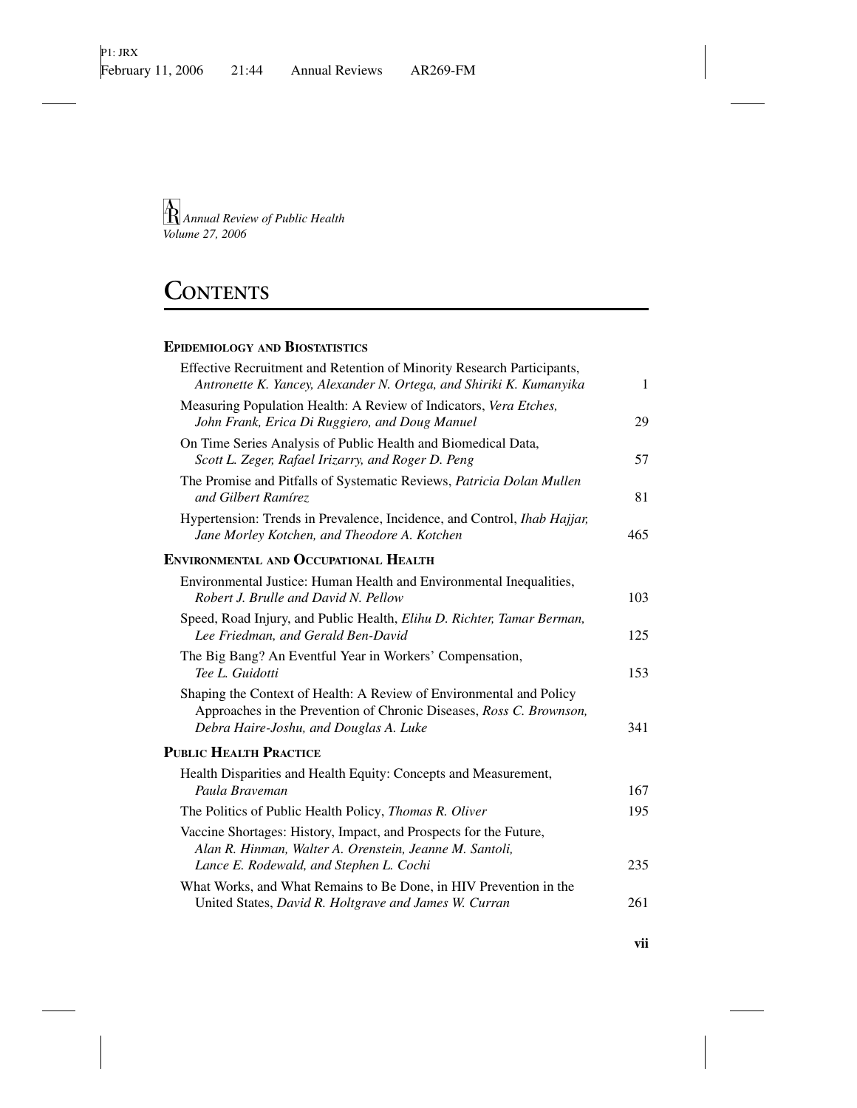# **CONTENTS**

# **EPIDEMIOLOGY AND BIOSTATISTICS**

| Effective Recruitment and Retention of Minority Research Participants,<br>Antronette K. Yancey, Alexander N. Ortega, and Shiriki K. Kumanyika                                        | 1   |
|--------------------------------------------------------------------------------------------------------------------------------------------------------------------------------------|-----|
| Measuring Population Health: A Review of Indicators, Vera Etches,<br>John Frank, Erica Di Ruggiero, and Doug Manuel                                                                  | 29  |
| On Time Series Analysis of Public Health and Biomedical Data,<br>Scott L. Zeger, Rafael Irizarry, and Roger D. Peng                                                                  | 57  |
| The Promise and Pitfalls of Systematic Reviews, Patricia Dolan Mullen<br>and Gilbert Ramírez                                                                                         | 81  |
| Hypertension: Trends in Prevalence, Incidence, and Control, <i>Ihab Hajjar</i> ,<br>Jane Morley Kotchen, and Theodore A. Kotchen                                                     | 465 |
| ENVIRONMENTAL AND OCCUPATIONAL HEALTH                                                                                                                                                |     |
| Environmental Justice: Human Health and Environmental Inequalities,<br>Robert J. Brulle and David N. Pellow                                                                          | 103 |
| Speed, Road Injury, and Public Health, Elihu D. Richter, Tamar Berman,<br>Lee Friedman, and Gerald Ben-David                                                                         | 125 |
| The Big Bang? An Eventful Year in Workers' Compensation,<br>Tee L. Guidotti                                                                                                          | 153 |
| Shaping the Context of Health: A Review of Environmental and Policy<br>Approaches in the Prevention of Chronic Diseases, Ross C. Brownson,<br>Debra Haire-Joshu, and Douglas A. Luke | 341 |
| <b>PUBLIC HEALTH PRACTICE</b>                                                                                                                                                        |     |
| Health Disparities and Health Equity: Concepts and Measurement,<br>Paula Braveman                                                                                                    | 167 |
| The Politics of Public Health Policy, Thomas R. Oliver                                                                                                                               | 195 |
| Vaccine Shortages: History, Impact, and Prospects for the Future,<br>Alan R. Hinman, Walter A. Orenstein, Jeanne M. Santoli,                                                         |     |
| Lance E. Rodewald, and Stephen L. Cochi                                                                                                                                              | 235 |
| What Works, and What Remains to Be Done, in HIV Prevention in the<br>United States, David R. Holtgrave and James W. Curran                                                           | 261 |